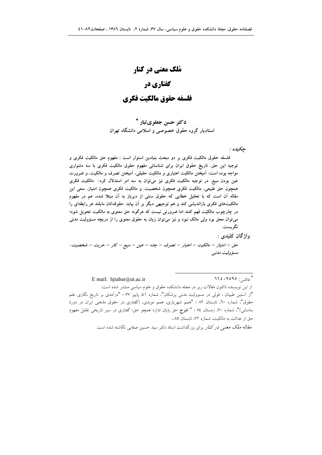# **مُلک معنی در کنار** گفتاری در

## فلسفه حقوق مالكىت فكرى

د *کت*ر حسن جعفری تبار <sup>\*</sup> استادیار گروه حقوق خصوصی و اسلامی دانشگاه تهران

حكىدە :

فلسفه حقوق مالکیت فکری بر دو مبحث بنیادین استوار است : مفهوم حق مالکیت فکری و توجیه این حق تاریخ حقوق ایران برای شناسائی مفهوم حقوق مالکیت فکری با سه دشواری مواجه بوده است: امیختن مالکیت اعتباری و مالکیت حقیقی، امیختن تصرف و مالکیت، و ضرورت عین بودن مبیع. در توجیه مالکیت فکری نیز می توان به سه امر استدلال کرد: مالکیت فکری همچون حق طبیعی، مالکیت فکری همچون شخصیت، و مالکیت فکری همچون امتیاز. سعی این مقاله ان است که با تحلیل خطایی که حقوق سنتی از دیرباز به ان مبتلا شده، هم در مفهوم مالکیتهای فکری بازاندیشی کند و هم توجیهی دیگر بر ان بیابد. حقوقدانان مایلند هر رابطهای را در چارچوب مالکیّت فهم کنند اما ضرورتی نیست که هرگونه حق معنوی به مالکیت تحویل شود؛ میتوان محق بود ولی مالک نبود و نیز میتوان زیان به حقوق معنوی را از دریچه مسؤولیت مدنی نگر يست.

واژگان كليدي :

حق – امتياز – مالكيت – اعتبار – تصرف – جده – عين – مبيع – كار – حريت – شخصيت-مسؤوليت مدنبي

E mail: hjtabar@ut.a

\* فاکس: ٩٥٩٥، ٢٦٤ - ٢٦٤

از این نویسنده تاکنون مقالات زیر در مجله دانشکده حقوق و علوم سیاسی منتشر شده است: "از آستین طبیبان ، قولی در مسوولیت مدنی پزشکان"، شماره ٤١، پاییز ٧٧ ؛ "درآمدی بر تاریخ نگاری علم حقوق"، شماره ٦٠، تابستان ٨٢ ؛ "همم شهريارى، همم موبدى، (گفتارى در حقوق مذهبى ايران در دورهٔ ساسانی)"، شماره ۷۰، زمستان ۸٤ ؛ " **شرح** حق پایان ندارد همچو حق؛ گفتاری در سیر تاریخی تقلیل مفهوم حق از عدالت به مالكيت، شماره ٧٢، تابستان ٨٥.

مقاله *ملک معنی در کنار* برای بزرگداشت استاد دکتر سید حسین صفایی نگاشته شده است.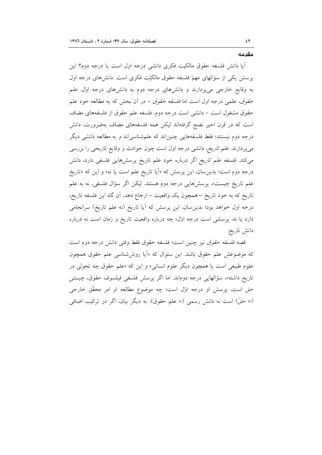مقدمه

٤٢

آیا دانش فلسفه حقوق مالکیت فکری دانش<sub>ی</sub> درجه اول است یا درجه دوم؟ این پرسش یکی از سؤالهای مهمّ فلسفه حقوق مالکیّت فکری است. دانشهای درجه اول به وقایع خارجی میپردازند و دانشهای درجه دوم به دانشهای درجه اول علم حق*وق*، علمی درجه اول است اما *فلسفه حقوق* – در آن بخش که به مطالعه خود علم حقوق مشغول است – دانشی است درجه دوم. فلسفه علم حقوق از فلسفههای مضاف است که در قرن اخیر نضج گرفتهاند لیکن همه فلسفههای مضاف بهضرورت، دانش درجه دوم نیستند؛ فقط فلسفههایی چنین|ند که علمشناسی|ند و به مطالعه دانشی دیگر میپردازند. *علم تاریخ،* دانشی درجه اول است چون حوادث و وقایع تاریخی را بررسی می کند. فلسفه علم تاریخ اگر درباره خود علم تاریخ پرسشهایی فلسفی دارد، دانش درجه دوم است؛ بدینِ سان، این پرسش که «اَیا تاریخ علم است یا نه» و این که «تاریخ علم تاریخ چیست»، پرسشهایی درجه دوم هستند. لیکن اگر سؤال فلسفی، نه به علم تاریخ که به خود تاریخ – همچون یک واقعیت – ارجاع دهد، آن گاه این فلسفه تاریخ، درجه اول خواهد بود؛ بدین سان، این پرسش که آیا تاریخ (نه علم تاریخ) سرانجامی دارد یا نه، پرسشی است درجه اول؛ چه درباره واقعیت تاریخ و زمان است نه درباره دانش تاريخ.

قصه *فلسفه حقوق* نيز چنين است؛ فلسفه حقوق فقط وقتى دانش درجه دوم است که موضوعش علم حقوق باشد. این سئوال که «اَیا روششناسی علم حقوق همچون علوم طبیعی است یا همچون دیگر علوم انسانی» و این که «علم حقوق چه تحولی در تاريخ داشته»، سؤالهايي درجه دوم ند. اما اگر پرسش فلسفي فيلسوف حقوق، چيستي حق است، پرسش او درجه اول است؛ چه موضوع مطالعه او امر محقّق خارجی (= حقّ) است نه دانش رسمی (= علم حقوق). به دیگر بیان، اگر در ترکیب اضافی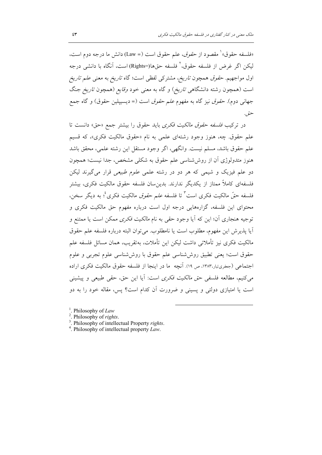«فلسفه حقوق» ْ مقصود از حق*وق*، علم حقوق است (= Law) دانش ما درجه دوم است. ليكن اگر غرض از فلسفه حقوق،' فلسفه حقها(=Rights) است، أنگاه با دانشي درجه اول مواجهیم. ح*قوق همچون تاریخ*، مشترکی لفظی است؛ گاه *تاریخ* به معنی *علم تاریخ* است (همچون رشته دانشگاه<sub>ی</sub> *تاریخ*) و گاه به معنی خود *وقایع (همچون تاریخ* جنگ جهانی دوم). حق*وق* نیز گاه به مفهوم *علم حقوق* است (= دیسیپلین حقوق) و گاه جمع حتو ،.

در تركيب *فلسفه حقوق مالكيت فكرى* بايد حقوق را بيشتر جمع «حق» دانست تا علم حقوق. چه، هنوز وجود رشتهای علمی به نام «حقوق مالکیت فکری»، که قسیم علم حقوق باشد، مسلم نيست. وانگهي، اگر وجود مستقل اين رشته علمي، محقق باشد هنوز متدولوژی آن از روششناسی علم حقوق به شکلی مشخص، جدا نیست؛ همچون دو علم فیزیک و شیمی که هر دو در رشته علمی *علوم طبیعی* قرار می گیرند لیکن فلسفهای کاملاً ممتاز از یکدیگر ندارند. بدین۳سان فلسفه حقوق مالکیت فکری، بیشتر فلسفه حقٌّ مالكيت فكرى است<sup>"</sup> تا فلسفه *علم حقوق* مالكيت فكرى<sup>،</sup> به ديگر سخن، محتوای این فلسفه، گزارههایی درجه اول است درباره مفهوم حق مالکیت فکری و توجیه هنجاری آن؛ این که آیا وجود حق<sub>ف</sub> به نام *مالکیت فکری* ممکن است یا ممتنع و آيا پذيرش اين مفهوم، مطلوب است يا نامطلوب. مي توان البته درباره فلسفه علم حقوق مالكيت فكرى نيز تأملاتي داشت ليكن اين تأملات، بهتقريب، همان مسائل فلسفه علم حقوق است؛ يعني تطبيق روش شناسي علم حقوق با روش شناسي علوم تجربي و علوم اجتماعی (جعفریتبار،۱۳۸۳، ص ۱۹). آنچه ما در اینجا از فلسفه حقوق مالکیت فکری اراده مي كنيم، مطالعه فلسفي حق *مالكيت فكرى* است: أيا اين حق، حقى طبيعي و پيشيني است یا امتیازی دولتی و یسینی و ضرورت آن کدام است؟ پس، مقاله خود را به دو

<sup>1</sup>. Philosophy of Law

- <sup>2</sup>. Philosophy of rights.
- <sup>3</sup>. Philosophy of intellectual Property rights.
- <sup>4</sup>. Philosophy of intellectual property  $Law$ .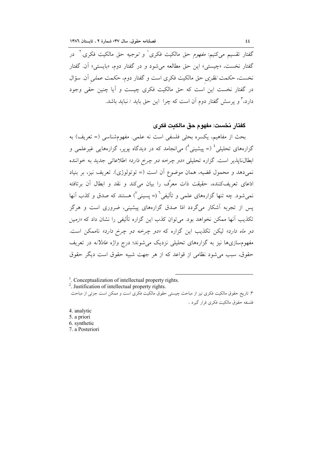گفتار تقسیم میکنیم: *مفهوم* حق مالکیت فکری ٰ و *توجیه* حق مالکیت فکری. ٗ در گفتار نخست، «چیستی» این حق مطالعه می شود و در گفتار دوم، «بایستی» آن. گفتار نخست، حکمت نظري حق مالکيت فکري است و گفتار دوم، حکمت عم*لي* آن. سؤال در گفتار نخست این است که حق مالکیت فکری چیست و آیا چنین حقی وجود دارد،" و پرسش گفتار دوم آن است که چرا این حق باید / نباید باشد.

گفتار نخست: مفهوم حق مالكىت فكرى

بحث از مفاهیم، یکسره بحثی فلسفی است نه علمی. مفهومشناسی (= تعریف) به گزارههای تحلیلی <sup>؛</sup> (= پیشینی <sup>0</sup>) می|نجامد که در دیدگاه *یوی*ر، گزارههایی غیرعلمی و ابطال ناپذیر است. گزاره تحلیلی «دو چرخه دو چرخ دارد» اطلاعاتی جدید به خواننده نمي دهد و محمول قضيه، همان موضوع آن است (= توتولوژي). تعريف نيز، بر بنياد ادّعای تعریفکننده، حقیقت ذات معرَّف را بیان میکند و نقد و ابطال آن برتافته نمي شود. چه تنها گزارههاي علمي و تأليفي` (= يسيني ٌ) هستند كه صدق و كذب آنها پس از تجربه آشکار میگردد امّا صدق گزارههای پیشینی، ضروری است و هرگز تکذیب آنها ممکن نخواهد بود. میتوان کذب این گزاره تألیفی را نشان داد که *«زمین* د*و ماه دارد»* لیکن تکذیب این گزاره که *«دو چرخه دو چرخ دارد»* ناممکن است. مفهومسازیها نیز به گزارههای تحلیلی نزدیک می شوند؛ درج واژه *عادلانه* در تعریف حقوق، سبب می شود نظامی از قواعد که از هر جهت شبیه حقوق است دیگر حقوق

<sup>1</sup>. Conceptualization of intellectual property rights.

<sup>2</sup>. Justification of intellectual property rights.

۳. تاریخ حقوق مالکیت فکری نیز از مباحث چیستی حقوق مالکیت فکری است و ممکن است جزئی از مباحث فلسفه حقوق مالکیت فکری قرار گیرد .

4. analytic 5. a priori 6. synthetic 7 a Posteriori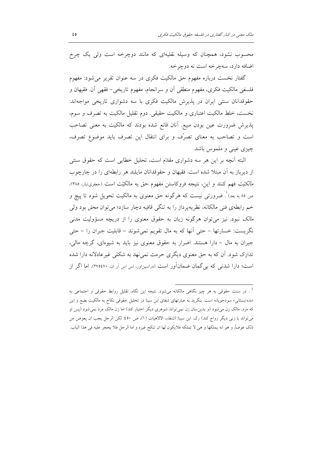محسوب نشود، همچنان که وسیله نقلیهای که مانند دوچرخه است ولی یک چرخ اضافه دارد، سهچرخه است نه دوچرخه.

گفتار نخست درباره مفهوم حق مالکیت فکری در سه عنوان تقریر می شود: مفهوم فلسفي مالکيت فکري، مفهوم منطقي اَن و سرانجام، مفهوم تاريخي- فقهي اَن فقيهان و حقوقدانان سنتي ايران در پذيرش مالكيت فكرى با سه دشواري تاريخي مواجهاند: نخست، خلط مالکیت اعتباری و مالکیت حقیقی. دوم تقلیل مالکیت به تصرف و سوم، پذیرش ضرورت عین بودن مبیع. آنان قانع شده بودند که مالکیت به معنی تصاحب است و تصاحب به معناى تصرّف و براى انتقال اين تصرف بايد موضوع تصرف، چیزی عینی و ملموس باشد.

البته أنچه بر این هر سه دشواری مقدّم است، تحلیل خطایی است که حقوق سنتی از دیرباز به آن مبتلا شده است. فقیهان و حقوقدانان مایلند هر رابطهای را در چارچوب م*الکتیت ف*هم کنند و این، نتیجه فروکاستن مفهوم حق به مالکیّت است (جعفریتبار، ۱۳۸۵، ص ۸۵ به بعد)'. ضرورتی نیست که هرگونه حق معنوی به مالکیت تحویل شود تا پیچ و خم رابطهی فنی مالکانه، نظریهپرداز را به تنگی قافیه دچار سازد؛ می توان محق بود ولی *مالک* نبود. نیز میتوان هرگونه زیان به حقوق معنوی را از دریچه مسؤولیت مدنی نگریست: خسارتها – حتی اّنها که به مال تقویم نمیشوند – قابلیت جبران را – حتی جبران به مال – دارا هستند. اضرار به حقوق معنوى نيز بايد به شيوهاى، گرچه مالي، تدارک شود. اَن که به حق معنوی دیگری حرمت نمی نهد به شکلی غیر عادلانه دارا شده است؛ دارا شدنی که بے گمان ضمانآور است (دراسیناور، اس اس آر ان، ۲۷۵٤۷۰). اما اگر از

<sup>&</sup>lt;sup>1</sup> . در سنت حقوقی به هر چیز نگاهی مالکانه میشود. نتیجه این نگاه، تقلیل روابط حقوقی و اجتماعی به «بده/بستانی» سودجویانه است. بنگرید به عبارتهای شفای ابن سینا در تحلیل حقوقی نکاح به مالکیت بضع و این که مرد، مالک زن میشود (و بدینِسان زن نمی تواند شوهری دیگر اختیار کند) اما زن مالک مرد نمیشود (پس او می تواند با زنی دیگر زواج کند) رک. ابن سینا: *الشفاء*، الالاهیات (۱)، ص ٤٥٠: لکن الرجل یجب ان یعوض من ذلك عوضاً، و هو انه يملكها و هي لا تملكه فلايكون لها ان تنكح غيره و اما الرجل فلا يحجر عليه في هذا الباب.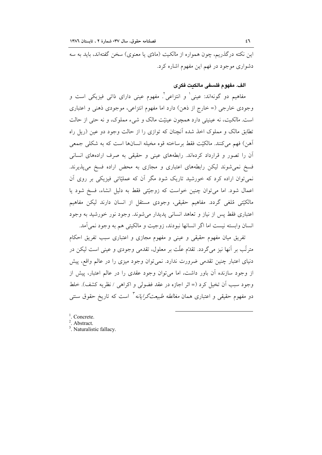این نکته درگذریم، چون همواره از *مالکیت (مادّی یا معنوی) سخن گفتهاند*، باید به سه دشواری موجود در فهم این مفهوم اشاره کرد.

## الف. مفهوم فلسفى مالكيت فكرى

مفاهیم دو گونهاند: عینی' و انتزاعی'. مفهوم عینی دارای ذاتی فیزیکی است و وجودی خارجی (= خارج از ذهن) دارد اما مفهوم انتزاعی، موجودی ذهنی و اعتباری است. *مالكيت*، نه عينيتي دارد همچون عينيّت مالک و شيء مملوک، و نه حتى از حالت تطابق مالک و مملوک اخذ شده اّنچنان که توازی را از حالت وجود دو عین (ریل راه آهن) فهم مي كنند. مالكيّت فقط برساخته قوه مخيله انسانها است كه به شكلي جمعي آن را تصور و قرارداد کردهاند. رابطههای عینی و حقیقی به صرف ارادههای انسانی فسخ نمی شوند لیکن رابطههای اعتباری و مجازی به محض اراده فسخ میپذیرند. نمیتوان اراده کرد که خورشید تاریک شود مگر آن که عملیّاتی فیزیکی بر روی آن اعمال شود. اما می توان چنین خواست که زوجیّتی فقط به دلیل انشاء، فسخ شود یا مالکیّتی مُلغی گردد. مفاهیم حقیقی، وجودی مستقل از انسان دارند لیکن مفاهیم اعتباری فقط پس از نیاز و تعاهد انسانی پدیدار میشوند. وجود نور خورشید به وجود انسان وابسته نيست اما اگر انسانها نبودند، زوجيت و مالكيتي هم به وجود نمي آمد.

تفریق میان مفهوم حقیقی و عینی و مفهوم مجازی و اعتباری سبب تفریق احکام مترتّب بر آنها نیز میگردد. تقدّم علّت بر معلول، تقدمی وجودی و عینی است لیکن در دنیای اعتبار چنین تقدمی ضرورت ندارد. نمیتوان وجود میزی را در عالم واقع، پیش از وجود سازنده آن باور داشت، اما میٍتوان وجود عقدی را در عالم اعتبار، پیش از وجود سبب أن تخيل كرد (= اثر اجازه در عقد فضولي و اكراهي / نظريه كشف). خلط دو مفهوم حقیقی و اعتباری همان *مغالطه طبیعتگرایانه* ٔ است که تاریخ حقوق سنت<sub>ی</sub>

- $\frac{1}{2}$ . Concrete.
- <sup>2</sup>. Abstract.
- $3$  Naturalistic fallacy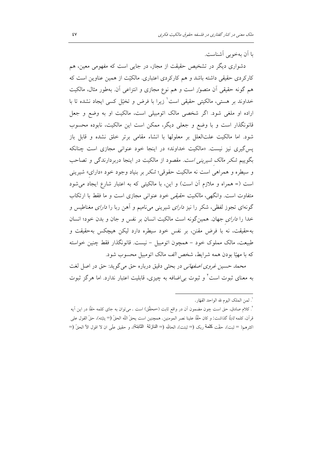یا اَن بهخوبی اَشناست.

دشواری دیگر در تشخیص حقیقت از مجاز، در جایی است که مفهومی معین، هم کارکردی حقیقی داشته باشد و هم کارکردی اعتباری. مالکیّت از همین عناوین است که هم گونه حقیقی آن متصور است و هم نوع مجازی و انتزاعی آن. بهطور مثال، مالکیت خداوند بر هستی، مالکیتی حقیقی است' زیرا با فرض و تخیّل کسی ایجاد نشده تا با اراده او ملغی شود. اگر شخصی مالک اتومبیلی است، مالکیت او به وضع و جعل قانونگذار است و با وضع و جعلی دیگر، ممکن است این مالکیت، نابوده محسوب شود. اما مالکیت علتالعلل بر معلولها با انشاء مقامی برتر خلق نشده و قابل باز پس گیری نیز نیست. «مالکیت خداوند» در اینجا خود عنوانی مجازی است چنانکه بگوییم *شکر مالک شیرینی است. مقص*ود از مالکیت در اینجا دربردارندگی و تصاحب و سیطره و همراهی است نه مالکیت حقوقی؛ *شکر* بر بنیاد وجود خود «دارای» شیرینی است (= همراه و ملازم آن است) و این، با مالکیتی که به اعتبار شارع ایجاد می شود متفاوت است. وانگهی، *مالکیت حقیقی* خود عنوانی مجازی است و ما فقط با ارتکاب گونهای تجوز لفظی، شکر را نیز *دارای* شیرینی میiامیم و آهن ربا را *دارای مغ*ناطیس و خدا را د*ارای جهان. همین گونه است مالکیت انسان بر نفس و جان و بدن خود*؛ انسان بهحقیقت، نه با فرض مقنن، بر نفس خود سیطره دارد لیکن هیچکس بهحقیقت و طبیعت، مالک مملوک خود – همچون اتومبیل – نیست. قانونگذار فقط چنین خواسته که با مهیّا بودن همه شرایط، شخص *الف* مالک اتومبیل محسوب شود.

محم*د حسین غروی اصفهانی* در بحثی دقیق درباره حق می گوید: حق در اصل لغت به معنای ثبوت است ٔ و ثبوت بی|ضافه به چیزی، قابلیت اعتبار ندارد. اما هرگز ثبوت

<sup>.&</sup>lt;br>`. لمن الملك اليوم لله الواحد القهّار .

<sup>&</sup>lt;sup>٢</sup>. كلام صادق، حق است چون مضمون آن در واقع ثابت (=محقَّق) است . مىتوان به جاى كلمه *حقاً* در اين آيه قرآن، كلمه *ثابتاً* گذاشت: و كان *حقاً* علينا نصر المومنين. همچنين است يحقّ اللّه الحقّ (= يثبّته)، حقّ القول على اكثرهم( = ثبت)، حقَّت كلَّمة ربك (= ثبتت)، الحاقَّه (= الذلزلة الثابتة)، و حقيق علَّى ان لا اقول الأ الحقِّ (=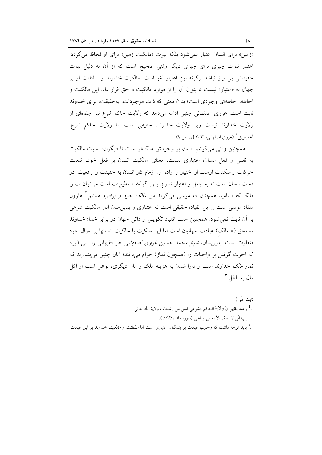«زمین» برای انسان اعتبار نمی شود بلکه ثبوت «مالکیت زمین» برای او لحاظ می گردد. اعتبار ثبوت چیزی برای چیزی دیگر وقتی صحیح است که از أن به دلیل ثبوت حقيقتش بي نياز نباشد وگرنه اين اعتبار لغو است. مالکيت خداوند و سلطنت او بر جهان به «اعتبار» نیست تا بتوان آن را از موارد مالکیت و حق قرار داد. این مالکیت و احاطه، احاطهای وجودی است؛ بدان معنی که ذات موجودات، بهحقیقت، برای خداوند ثابت است. غروی اصفهانی چنین ادامه میدهد که ولایت حاکم شرع نیز جلوهای از ولايت خداوند نيست زيرا ولايت خداوند، حقيقى است اما ولايت حاكم شرع، اعتباری ٔ (غروی اصفهانی، ۱۳٦۳ ق.، ص ۹).

همچنین وقتی می گوئیم انسان بر وجودش مالکتر است تا دیگران، نسبت مالکیت به نفس و فعل انسان، اعتبارى نيست. معناى مالكيت انسان بر فعل خود، تبعيت حرکات و سکنات اوست از اختیار و اراده او. زمام کار انسان به حقیقت و واقعیت، در دست انسان است نه به جعل و اعتبار شارع. پس اگر *الف* مطیع *ب* است میتوان *ب را* مالک *الف* نامید همچنان که موس<sub>ع</sub> میگوید *من مالک خود و برادرم هستم.*<sup>۲</sup> هارون منقاد موسی است و این انقیاد، حقیقی است نه اعتباری و بدین سان آثار مالکیت شرعی بر آن ثابت نمی شود. همچنین است انقیاد تکوینی و ذاتی جهان در برابر خدا؛ خداوند مستحق (= مالک) عبادت جهانیان است اما این مالکیت با مالکیت انسانها بر اموال خود متفاوت است. بدین سان، *شیخ محمد حسین غروی اصفهانی* نظر فقیهانی را نمیپذیرد که اجرت گرفتن بر واجبات را (همچون نماز) حرام می دانند؛ آنان چنین می پندارند که نماز *ملک خد*اوند است و دارا شدن به هزینه ملک و مال دیگری، نوعی است از اکل مال به باطل آ

ثابت علّى). .<sup>1</sup> و منه يظهر انّ **ولاي**ة الحاكم الشرعى ليس من رشحات ولاية اللّه تعالى . .<sup>2</sup> ربّ انّي لا املک الأ نفسي و اخي (سوره مائده5/25 ). .<sup>3</sup> باید توجه داشت که *وجوب ع*بادت بر بندگان، اعتباری است اما *سلطنت و مالکیت خد*اوند بر این عبادت،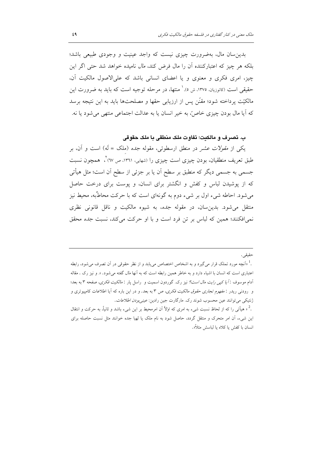بدین سان مال، بهضرورت چیزی نیست که واجد عینیت و وجودی طبیعی باشد؛ بلکه هر چیز که اعتبارکننده أن را مال فرض کند، *مال* نامیده خواهد شد حت<sub>ی</sub> اگر این چیز، امری فکری و معنوی و یا اعضای انسانی باشد که علی الاصول مالکیت آن، حقیقی است (کاتوزیان، ۱۳۷۵، ش ٥). ٰ منتها، در مرحله توجیه است که باید به ضرورت این مالکیّت پرداخته شود؛ مقنّن پس از ارزیابی حقها و مصلحتها باید به این نتیجه برسد كه آيا مال بودن چيزي خاصٌّ، به خير انسان يا به عدالت اجتماعي منتهي مي شود يا نه.

## ب. تصرف و مالكيت؛ تفاوت ملك منطقي با ملك حقوقي

یکی از *مقولات عشر در منطق ارسطوئی، مقوله جده (ملک = لَه) است و آن، ب*ر طبق تعریف منطقیان، بودن چیزی است چیزی را (شهابی، ۱۳٦۱، ص ٦٧) ً، همچون نسبت جسمی به جسمی دیگر که منطبق بر سطح اَن یا بر جزئی از سطح اَن است؛ مثل هیأتی که از پوشیدن لباس و کفش و انگشتر برای انسان، و پوست برای درخت حاصل میشود. احاطه شیء اول بر شیء دوم به گونهای است که با حرکت محاطٌبه، محیط نیز منتقل می شود. بدین سان، در مقوله جده، به شیوه مالکیت و ناقل قانونی نظری نمیافکنند؛ همین که لباس بر تن فرد است و با او حرکت می کند، نسبت ج*ده محق*ق

### حقيقى .

.<sup>1</sup> «آنچه مورد تملک قرار میگیرد و به اشخاص اختصاص میLبابد و از نظر حقوقی در آن تصرف میشود، رابطه اعتباری است که انسان با اشیاء دارد و به خاطر همین رابطه است که به آنها *مال* گفته می شود. ». و نیز رک . مقاله آدام موسوف : *آیا کیبی رایت مال است؟* نیز رک. گوردون اسمیت و راسل پار : *مالکیت فکری، صفحه* ۳ به بعد؛ و رودنی ریدر : *مفهوم تجاری حقوق مالکیت فکری، ص* ۳ به بعد. و در این باره که آیا اطلاعات کامپیوتری و ژنتیکی می توانند عین محسوب شوند رک. مارگارت جین رادین: *عینی بودن اطلاعات*.

.<sup>2</sup> « هیأتی را که از لحاظ نسبت شیء به امری که اولاً آن امرمحیط بر این شیء باشد و ثانیاً، به حرکت و انتقال این شیء، آن امر متحرک و منتقل گردد، حاصل شود به نام ملک یا لهیا جده خوانند مثل نسبت حاصله برای انسان با كفش يا كلاه يا لباسش مثلاً«.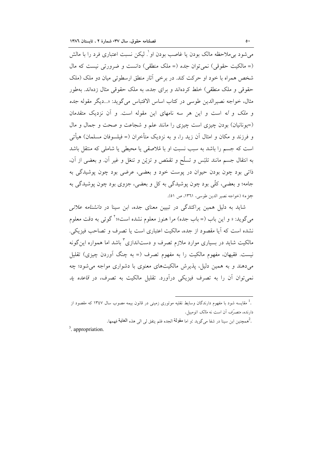می شود بی ملاحظه مالک بودن یا غاصب بودن او ٔ. لیکن نسبت اعتباری فرد را با مالش (= مالكيت حقوقي) نمي توان *جده* (= ملك منطقي) دانست و ضرورتي نيست كه مال شخص همراه با خود او حرکت کند. در برخی آثار منطق ارسطوئی میان دو ملک (ملک حقوقی و ملک منطقی) خلط کردهاند و برای جده، به ملک حقوقی مثال زدهاند. بهطور مثال، خواجه نصيرالدين طوسي در كتاب اساس الاقتباس مي گويد: «...ديگر مقوله *جده* و *ملک و له* است و این هر سه نامهای این مقوله است. و آن نزدیک متقدمان (=یونانیان) بودن چیزی است چیزی را مانند علم و شجاعت و صحت و جمال و مال و فرزند و مکان و امثال اَن زید را، و به نزدیک متأخران (= فیلسوفان مسلمان) هیأتی است که جسم را باشد به سبب نسبت او با مُلاصقی یا محیطی یا شاملی که منتقل باشد به انتقال جسم مانند تلبّس و تسلّح و تقمّص و تزيّن و تنغّل و غير أن. و بعضي از أن، ذاتی بود چون بودن حیوان در پوست خود و بعضی، عرضی بود چون پوشیدگی به جامه؛ و بعضی، کلّی بود چون پوشیدگی به کل و بعضی، جزوی بود چون پوشیدگی به جزء) (خواجه نصير الدين طوسي، ١٣٦١، ص ٥١).

شاید به دلیل همین پراکندگی در تبیین معنای جده، ابن سینا در *دانشنامه علائی* مي گويد: « و اين باب (= باب جده) مرا هنوز معلوم نشده است»؛ کوئي به دقت معلوم نشده است که آیا مقصود از جده، مالکیت اعتباری است یا تصرف و تصاحب فیزیکی. مالکیت شاید در بسیاری موارد ملازم تصرف و دستاندازی آباشد اما همواره این گونه نیست. فقیهان، مفهوم مالکیت را به مفهوم تصرف (= به چنگ اَوردن چیزی) تقلیل می دهند و به همین دلیل، پذیرش مالکیتهای معنوی با دشواری مواجه می شود؛ چه نمی توان آن را به تصرف فیزیکی درآورد. تقلیل مالکیت به تصرف، در ق*اعده ید* 

ـ هممچنين ابن سينا در شفا ميگويد :و اما مقولمة الجده فلم يتفق ل<sub>ى</sub> ال<sub>ى</sub> هذه **الـغايـة** فهمها.

 $3$  appropriation

<sup>.&</sup>lt;br>. مقاسسه شود با مفهوم دارندگان وسایط نقلیه موتوری زمینی در قانون بیمه مصوب سال ۱۳٤۷ که مقصود از دارنده، *متصرّف* آن است نه *مالک* اتومبیل.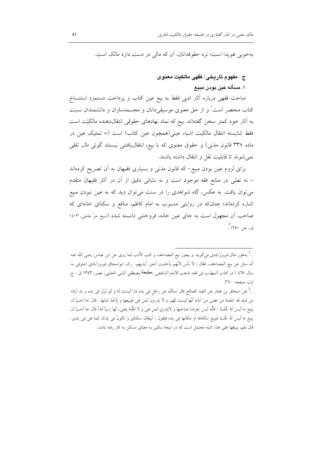بهخوبی هویدا است؛ نزد حقوقدانان، أن که مالی در دست دارد مالک است.

## ج . مفهوم تاريخي/ فقهي مالكيت معنوي

## ١. مسأله عين يو ين مييع

مباحث فقهی درباره آثار ادبی فقط به بیع عین کتاب و پرداخت دستمزد استنساخ کتاب منحصر است ٰ و از حق معنوی موسیقیدانان و مجسمهسازان و دانشمندان نسبت به آثار خود کمتر سخن گفتهاند. بیع که نماد نهادهای حقوقی انتقالدهنده مالکیّت است فقط شايسته انتقال مالكيت اشياء عيني(همچون عين كتاب) است (= تمليك عين در ماده ۳۳۸ قانون مدنی) و حقوق معنوی که با بیع، انتقال یافتنی نیستند گوئی *مال* تلقی نمي شوند تا قابليت نقل و انتقال داشته باشند.

برای لزوم عین بودن مبیع- که قانون مدنی و بسیاری فقیهان به آن تصریح کردهاند – نه نصمّی در منابع فقه موجود است و نه نشانی دقیق از آن در آثار فقیهان متقدم می توان یافت. به عکس، گاه شواهدی را در سنت می توان دید که به عین نبودن مبیع اشاره کردهاند؛ چنانکه در روایتی منسوب به امام کاظم، منافع و سکنای خانهای که صاحب أن مجهول است به جاي عين خانه، فروختني دانسته شده (شيخ حرّ عاملي، ١٤٠٣ ق.، ص ۲۵۰) .

<sup>.&</sup>lt;sup>1</sup> بهطور مثال *فيروزآبادى مى*گويد: و يجوز بيع المصاحف و كتب الأدب لما روى عن ابن عباس رضى اللّه عنه أنه سئل عن بيع المصاحف، فقال : لا بأس لانَّهم يأخذون أجور أيديهم. رك. ابواسحاق فيروزآبادي (متوفى به سال ٤٦٧ ) در كتا*ب المهانّب في فقه مذهب الامام الشافعي*، مطبعة مصطفى البابي الحلبي، مصر، ١٣٤٣ ق ، ج. اول، صفحه ٢٦٠.

<sup>.&</sup>lt;sup>2</sup> عَن اسحاق بن عَمّار عَن العَبد الصالح قال :سَاَلتُه عن رَجُل في يَده دارٌ لَيسَت لَهُ وَ لَم تَزَل في يَده و يَد آبائه من قَبله قَد اَعلَمَهُ مَن مَضى من اَبائه اَنَّها لَيسَت لَهُم، وَ لا يَدرونَ لمَن هي فَيَبَيعها و يَأخُذَ ثَمَنَها . قالَ :ما اَحَبُّ اَن يَبيعَ ما لَيسَ لَهُ .قُلتُ : فَأَنَّه لَيسَ يَعرفُ صاحبَها وَ لايَدرى لمَن هيَ وَ لا اظْنهُ يَجيء لَها رَبٌّ ابَدأ قال :ما أحبُّ اَن يَبيع ما لَيسَ لَهُ .قُلتُ فَيَبيع سُكناها أو مَكانَها في يَده فَيَقول : أبيعُكَ سكنايَ وَ تَكونُ في يَدكَ كَما هيَ في يَدي . قالَ نَعَم، يَبِيعُها عَلى هذا. البته محتمل است كه در اينجا سكني به معناي مسكن به كار رفته باشد.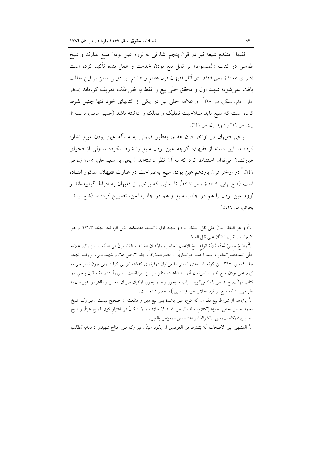فقیهان متقدم شیعه نیز در قرن پنجم اشارتی به لزوم عین بودن مبیع ندارند و شیخ طوسی در کتاب «المبسوط» بر قابل بیع بودن خدمت و عمل بنده تأکید کرده است (شهیدی، ۱٤٠٧ ق. ص ١٤٩). در آثار فقیهان قرن هفتم و هشتم نیز دلیلی متقن بر این مطلب یافت نمی شود؛ شهید اول و محقق حلّی بیع را فقط *به نقل ملک* تعریف کردهاند (محقق حلي، چاپ سنگي، ص ۹۸) و علامه حلي نيز در يکي از کتابهاي خود تنها چنين شرط کرده است که مبیع باید صلاحیت تملیک و تملک را داشته باشد (حسینی عاملی، مؤسسه آل بیت، ص ٢١٩ و شهید اول، ص ٢٤٦).

برخی فقیهان در اواخر قرن هفتم، بهطور ضمنی به مسأله عین بودن مبیع اشاره كردهاند. اين دسته از فقيهان، گرچه عين بودن مبيع را شرط نكردهاند ولي از فحواي عبارتشان می توان استنباط کرد که به اَن نظر داشتهاند ( یحیی بن سعید حلّی، ۱٤٠٥ ق.، ص ٢٤٦).' در اواخر قرن يازدهم عين بودن مبيع بهصراحت در عبارت فقيهان، مذكور افتــاده است (شیخ بهایی، ۱۳۱۹ ق.، ص ۲۰۷) ٌ، تا جایبی که برخی از فقیهان به افراط گراییدهاند و لزوم عین بودن را هم در جانب مبیع و هم در جانب ثمن، تصریح کردهاند (شیخ یوسف بحراني، ص ٤٢٩). <sup>٤</sup>

.<sup>2</sup> والبَيعُ جنسٌ تَحتَه ثَلاثَهُ انواع :بَيعُ الاعَيان الحاضرَه والأعيان الغائبَه و المَضمونُ في الذَمّه .و نيز رک. علامه حلَّى، المختصر النافع، و سيد احمد خوانسارى : *جامع المدارك*، جلد ٣، ص ٢٥، و شهيد ثانى، الروضه البهيه، جلد ٤، ص .٣٢٧ اين گونه اشارههاى ضمنى را مى توان درقرنهاى گذشته نيز پى گرفت ولى چون تصريحى به لزوم عین بودن مبیع ندارند نمیٍتوان آنها را شاهدی متقن بر این امردانست . فیروزآبادی، فقیه قرن پنجم، در كتاب مهذَّب، ج ١، ص ٢٥٩ مي گويد : باب ما يجوز و ما لا يجوز؛ الاعيان ضربان :نجس و طاهر، و بدين سان به نظر میرسد که مبیع در فرد اجلای خود (= عین ) منحصر شده است.

.<sup>3</sup> يازدهم از شروط بيع نقد آن كه متاع، عين باشد؛ پس بيع دين و منفعت آن صحيح نيست . نيز رک. شيخ محمد حسن نجفي: *جواهرالكلام*، جلد٢٢، ص ٢٠٨: لا خلافَ وَ لا اشكالَ في اعتبار كَون المَبيع عَيناً، و شيخ انصاري، *المكاسب*، ص: ٧٩ والظّاهر اختصاص المعوّض بالعين.

.<sup>4</sup> المشهور بَينَ الاصحاب انَّهُ يَشتَرِط في العوضَين ان يكونا عيناً . نيز رک ميرزا فتاح شهيدي : *هدايه الطالب* 

<sup>.&</sup>lt;sup>1</sup>. و هو اللفظ الدالّ على نقل الملك …» و شهيد اول : *اللمعه الدمشقيه*، ذيل الروضه البهيّه، ٢٢١/٣: و هو الايجاب والقبول الدّالّان على نقل الملك.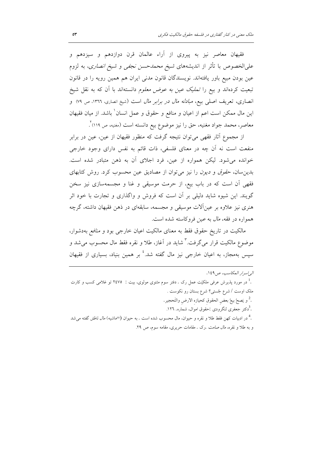فقیهان معاصر نیز به پیروی از آراء عالمان قرن دوازدهم و سیزدهم و علىالخصوص با تأثر از انديشههاى *شيخ محمدحسن نجفى و شيخ انصارى*، به لزوم عین بودن مبیع باور یافتهاند. نویسندگان قانون مدنی ایران هم همین رویه را در قانون تبعیت کردهاند و بیع را *تملیک عین به عوض معلوم* دانستهاند با آن که به نقل شیخ انصاری، تعریف اصلی بیع، *مبادله مال در برابر مال* است (شیخ انصاری، ١٣٦٦، ص ٧٩) و این مال ممکن است اعم از اعیان و منافع و حقوق و عمل انسان ٰ باشد. از میان فقیهان معاصر، محمد جواد مغنیه، حق را نیز موضوع بیع دانسته است (مغنیه، ص ۱۱۹) ٌ.

از مجموع آثار فقهی میتوان نتیجه گرفت که منظور فقیهان از عین، عین در برابر منفعت است نه آن چه در معنای فلسفی، ذات قائم به نفس دارای وجود خارجی خوانده می شود. لیکن همواره از عین، فرد اجلای آن به ذهن متبادر شده است. بدین سان، حق*وق و دیون را نیز می توان از مصادیق عین محسوب کرد. روش کتابهای* فقهی آن است که در باب بیع، از حرمت موسیقی و غنا و مجسمهسازی نیز سخن گویند. این شیوه شاید دلیلی بر آن است که فروش و واگذاری و تجارت با خود اثر هنری نیز علاوه بر عینآلات موسیقی و مجسمه، سابقهای در ذهن فقیهان داشته، گرچه همواره در فقه، *مال* به عین فروکاسته شده است.

مالکیت در تاریخ حقوق فقط به معنای مالکیت اعیان خارجی بود و *منافع بهدشوار،* موضوع مالکيت قرار مي گرفت.<sup>۳</sup> شايد در آغاز، طلا و نقره فقط مال محسوب مي *شد و* سیس بهمجاز، به اعیان خارجی نیز مال گفته شد.<sup>؛</sup> بر همین بنیاد، بسیاری از فقیهان

الي اسرار المكاسب، ص ١٤٩.

.<sup>1</sup> در مورد پذیرش عرفی ملکیّت عمل رک . دفتر سوم مثنوی مولوی، بیت : ۲٤۷٥ تو غلامی کسب و کارت ملک اوست / شرع جُستی؟ شرع بستان رو نکوست . .<br>و يَصحُ بيعُ بعض الحقوق كحيازه الارض والتَحجير. .<sup>3</sup>دکتر جعفری لنگرودی :حقوق اموال، شماره. ۱۲٦. .<sup>4</sup> در ادبیات کهن فقط طلا و نقره و حیوان، مال محسوب شده است . به حیوان (=ماشیه) *مال ناطق* گفته میشد

و به طلا و نقره، *مال صامت* .رک . مقامات حریری، مقامه سوم، ص ٢٩.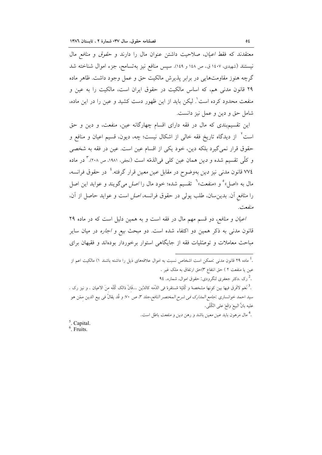معتقدند که فقط *اعیان*، صلاحیت داشتن عنوان مال را دارند و حق*وق و منافع مال* نیستند (شهیدی، ۱٤۰۷ ق.، ص ۱٤۸ و ۱٤۹). سپس منافع نیز بهتسامح، جزء اموال شناخته شد گرچه هنوز مقاومتهایی در برابر پذیرش مالکیت حق و عمل وجود داشت. ظاهر ماده ۲۹ قانون مدنی هم، که اساس مالکیت در حقوق ایران است، مالکیت را به عین و منفعت محدود کرده است ْ. لیکن باید از این ظهور دست کشید و عین را در این ماده، شامل حق و دين و عمل نيز دانست.

این تقسیم بندی که مال در فقه دارای اقسام چهارگانه عین، منفعت، و دین و حق است ٔ از دیدگاه تاریخ فقه خالی از اشکال نیست؛ چه، دیون، قسیم اعیان و منافع و حقوق قرار نمی گیرد بلکه دین، خود یکی از اقسام عین است. عین در فقه به شخصی و کلّی تقسیم شده و *دین* همان عین کلّی فیالذمّه است (نجفی، ۱۹۸۱، ص ۲۰۸). ٌ در ماده ۷۷٤ قانون مدنی نیز *دین* بهوضوح در مقابل *عین معین* قرار گرفته.<sup>؛</sup> در حقوق فرانسه، مال به «اصل»° و «منفعت»<sup>٦</sup> تقسیم شده؛ خود مال را *اصل می*گویند و عواید این اصل را *منافع* آن. بدینِ سان، طلب پولی در حقوق فرانسه، *اصل است و عواید حاصل از آن*، منفعت.

اعیان و منافع، دو قسم مهم مال در فقه است و به همین دلیل است که در ماده ٢٩ قانون مدن<sub>ی</sub> به ذکر همین دو اکتفاء شده است. دو مبحث *بیع و اجاره* در میان سایر مباحث معاملات و توصّلیات فقه از جایگاهی استوار برخوردار بودهاند و فقیهان برای

.<sup>1</sup> ماده ۲۹ قانون مدن<sub>ی</sub> :ممکن است اشخاص نسبت به اموال علاقههای ذیل را داشته باشند ۱) مالکیت اعم از عين يا منفعت ٢ ) حق انتفاع ٣)حق ارتفاق به ملک غير . رک .دکتر جعفری لنگرودی: حقوق اموال، شماره. ۹٤ $\cdot$ .<sup>3</sup> نَعَم لافَرق فيها بين كونها مشخصه ًو كُليّة مُستقرهً في الذَمه كالدَّين …فَانّ ذالك كُلّه منَ الاعيان . و نيز رک . سيد احمد خوانساري :*جامع المدارک في شرح المختصر النافع،ج*لد ٣، ص ٧٠. و قُد يقالُ في بيع الدين ممّن هو عليه بانَّ البيعَ وَقَعَ على الكُلّي. .<sup>4</sup> مال مرهون باید *عین معین* باشد و رهن *دین و منفعت* باطل است.  $5$ . Capital.

 $<sup>6</sup>$ . Fruits.</sup>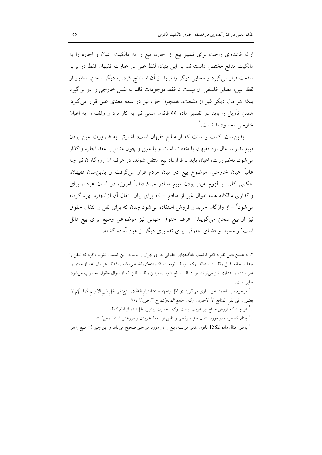ارائه قاعدهای راحت برای تمییز بیع از اجاره، بیع را به مالکیت اعیان و اجاره را به مالکیت منافع مختص دانستهاند. بر این بنیاد، لفظ عین در عبارت فقیهان فقط در برابر منفعت قرار می گیرد و معنایی دیگر را نباید از آن استنتاج کرد. به دیگر سخن، منظور از لفظ عین، معنای فلسفی آن نیست تا فقط موجودات قائم به نفس خارجی را در بر گیرد بلکه هر مال دیگر غیر از *منفعت*، همچون حق، نیز در سعه معنای عین قرار میگیرد. همین تأویل را باید در تفسیر ماده ٥٥ قانون مدنی نیز به کار برد و وقف را به اعیان خارجي محدود ندانست.'

بدین سان، کتاب و سنت که از منابع فقیهان است، اشارتی به ضرورت عین بودن مبيع ندارند. مال نزد فقيهان يا *منفعت* است و يا *عين و چون منافع با عقد اجاره واگذا*ر میشود، بهضرورت، اعیان باید با قرارداد بیع منتقل شوند. در عرف آن روزگاران نیز چه غالباً اعیان خارجی، موضوع بیع در میان مردم قرار میگرفت و بدینِسان فقیهان، حکمی کلی بر لزوم عین بودن مبیع صادر میکردند.<sup>۲</sup> امروز، در لسان عرف، برای واگذاری مالکانه همه اموال غیر از منافع – که برای بیان انتقال آن از *اجاره* بهره گرفته میشود<sup>۳</sup> – از واژگان خرید و فروش استفاده میشود چنان که برای نقل و انتقال حقوق نیز از بیع سخن میگویند<sup>؛</sup>. عرف حقوق جهانی نیز موضوعی وسیع برای بیع قائل است° و محیط و فضای حقوقی برای تفسیری دیگر از عین آماده گشته.

۲. به همین دلیل نظریه اکثر قاضیان دادگاههای حقوقی بدوی تهران را باید در این قسمت تقویت کرد که تلفن را جدا از خانه، قابل وقف دانستهاند. رک. یوسف نوبخت *اندیشههای قضایی،* شماره۳۱۱ : هر مال اعم از مادی و غیر مادی و اعتباری نیز می تواند موردوقف واقع شود بنابراین وقف تلفن که از اموال منقول محسوب می شود جايز است. . ممرحوم سيد احمد خوانسارى مىگويد :وَ لَعَلَ وَجهَه عَدَمُ اعتبار العُقَلاء البَيعَ فى نقل غير الأعيان كَما انَّهُم لا يَعتبرون في نقل الممنافع الأ الاجاره . رك . جامع *المدارك، ج* ٣، ص٢٩. ٧٠.

<sup>.&</sup>lt;sup>3</sup> هر چند که فروش منافع نیز غریب نیست، رک . حدیث پیشین، نقل¢ده از امام کاظم.

<sup>.&</sup>lt;sup>4</sup> چنان که عرف در مورد انتقال حق سرقفلی و تلفن از الفاظ خریدن و فروختن استفاده میکنند.

<sup>.&</sup>lt;sup>3</sup> بهطور مثال ماده 1582 قانون مدنى فرانسه، بيع را در مورد هر چيز صحيح مىداند و اين چيز (= مبيع ) هر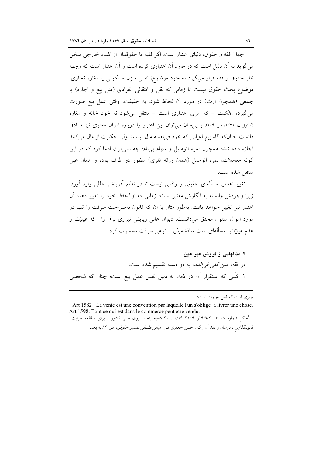جهان فقه و حقوق، دنیای اعتبار است. اگر فقیه یا حقوقدان از اشیاء خارجی سخن میگوید به آن دلیل است که در مورد آن اعتباری کرده است و آن اعتبار است که وجهه نظر حقوق و فقه قرار میگیرد نه خود موضوع؛ نفس منزل مسکونی یا مغازه تجاری، موضوع بحث حقوق نیست تا زمانی که نقل و انتقالی انفرادی (مثل بیع و اجاره) یا جمعي (همچون ارث) در مورد أن لحاظ شود. به حقيقت، وقتى عمل بيع صورت می گیرد، *مالکیت - که* امری اعتباری است - منتقل می شود نه خود خانه و مغازه (کاتوزیان، ۱۳۷۱، ص ۲۰۹). بدین سان می توان این اعتبار را درباره اموال معنوی نیز صادق دانست چنانکه گاه بیع اعیانی که خود فی نفسه مال نیستند ولی حکایت از مال میکنند اجازه داده شده همچون نمره اتومبیل و سهام بینام؛ چه نمیتوان ادعا کرد که در این گونه معاملات، نمره اتومبیل (همان ورقه فلزی) منظور دو طرف بوده و همان عین منتقل شده است.

تغییر اعتبار، مسألهای حقیقی و واقعی نیست تا در نظام أفرینش خللی وارد اَورد؛ زیرا وجودش وابسته به انگارش معتبر است؛ زمانی که او *لحاظ* خود را تغییر دهد، آن اعتبار نیز تغییر خواهد یافت. بهطور مثال با آن که قانون بهصراحت سرقت را تنها در مورد اموال منقول محقق میدانست، دیوان عالی ربایش نیروی برق را که عینیّت و عدم عینیّتش مسألهای است مناقشهپذیر\_ نوعی سرقت محسوب کرد' .

۲. مثالهایی از فروش غیر عین در فقه، *عین کلی فی الذمه* به دو دسته تقسیم شده است: ۱. کلّیی که استقرار آن در ذمه، به دلیل نفس عمل بیع است؛ چنان که شخصی

چیزی است که قابل تجارت است:

Art 1582 : La vente est une convention par laquelle l'un s'oblige a livrer une chose. Art 1598: Tout ce qui est dans le commerce peut etre vendu. .<br>- حکم شماره ۰-۳۰۲-۱۹/۹/۹<sub>۱۹</sub> ۳۵۰۹–۱۰/۱۹. ۳۰ شعبه پنجم دیوان عالی کشور . برای مطالعه حیثیت قانونگذاری دادرسان و نقد آن رک . حسن جعفری تبار، *مبانی فلسفی تفسیر حقوقی، ص ۸*۲ به بعد.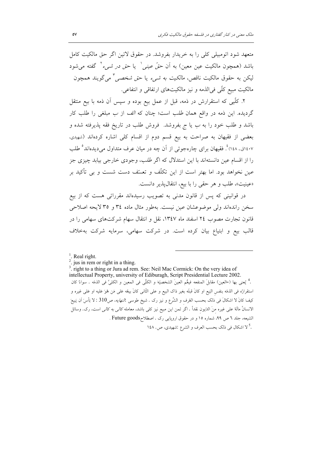متعهد شود اتومبیلی کلی را به خریدار بفروشد. در حقوق لاتین اگر حق مالکیت کامل باشد (همچون مالکیت عین معین) به آن حقّ عینی لیا حق در شبیء کافته می شود ليکن به حقوق مالکيت ناقص، *مالکيت به شيء* يا ح*ق شخصي " مي گ*ويند همچون مالكيت مبيع كلَّى في الذمه و نيز مالكيتهاى ارتفاقي و انتفاعي.

۲. کلّیی که استقرارش در ذمه، قبل از عمل بیع بوده و سپس آن ذمه با بیع منتقل گردیده. این ذمه در واقع همان *طلب* است؛ چنان که *الف* از *ب مبلغی را طلب کار* باشد و طلب خود را به ب یا ج بفروشد. فروش طلب در تاریخ فقه پذیرفته شده و بعضی از فقیهان به صراحت به بیع قسم دوم از اقسام کلی اشاره کردهاند (شهیدی، ۱٤٠٧ق.، ١٤٨) ْ. فقيهان براي چارهجوئي از اَن چه در ميان عرف متداول ميديدهاند ْ طلب را از اقسام عین دانستهاند با این استدلال که اگر *طلب، وجودی خارجی* بیابد چیزی جز عین نخواهد بود. اما بهتر است از این تکلّف و تعسّف دست شست و بی تأکید بر «عینیت»، طلب و هر حقبی را با بیع، انتقالپذیر دانست.

در قوانینی که پس از قانون مدنی به تصویب رسیدهاند مقرراتی هست که از بیع سخن راندهاند ولي موضوعشان عين نيست. بهطور مثال ماده ٣٤ و ٣٥ لايحه اصلاحي قانون تجارت مصوب ٢٤ اسفند ماه ١٣٤٧، نقل و انتقال سهام شركتهاى سهامى را در قالب بیع و ابتیاع بیان کرده است. در شرکت سهامی، سرمایه شرکت بهخلاف

<sup>3</sup>. right to a thing or Jura ad rem. See: Neil Mac Cormick: On the very idea of intellectual Property, university of Ediburagh, Script Presidential Lecture 2002. .<sup>4</sup> يُعنى بها (=العين) مقابلَ المنفعه فيعٌم العينَ الشخصيّة و الكلَّى في المعين و الكليَّ في الذمّه . سواءٌ كان استقرارُه في الذمّه بنفس البَيع او كانَ قبلَه بغير ذاك البيع و على الثّاني كانَ بيعُه عَلى مَن هُوَ عَليه او عَلى غيره و كيفَ كانَ لا اشكالَ في ذلك بحسب العُرف و الشَّرع و نيز رک . شيخ طوسي *!لنهايه*، ص310 : لا بَأْسَ اَن يَبيعَ الانسانُ مالَهُ على غيره منَ الدّيون نقداً . اگر ثمن اين مبيع نيز كلي باشد، معامله *كالي به كالي* است، رک. وسائل الشیعه، جلد ٦ ص ٩٩، شماره ١٥ و در حقوق اروپایی رک . اصطلاحDas . Future goods .<sup>5</sup> لا اشكال في ذلك بحسب العرف و الشرع :شهيدي، ص. ١٤٨

 $\frac{1}{2}$ . Real right.

 $2$ . jus in rem or right in a thing.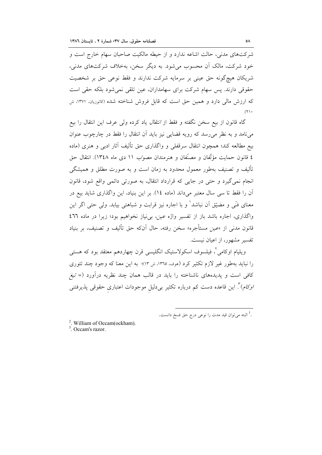شرکتهای مدنی، حالت اشاعه ندارد و از حیطه مالکیت صاحبان سهام خارج است و خود شرکت، مالک آن محسوب می شود. به دیگر سخن، بهخلاف شرکتهای مدنی، شریکان هیچگونه حق عینی بر سرمایه شرکت ندارند و فقط نوعی حق بر شخصیت حقوقی دارند. پس سهام شرکت برای سهامداران، عین تلقی نمی شود بلکه حقی است که ارزش مالی دارد و همین حق است که قابل فروش شناخته شده (کاتوزیان، ۱۳۷۱، ش  $(7)$ .

گاه قانون از بیع سخن نگفته و فقط از *انتقال* یاد کرده ولی عرف این انتقال را بیع می نامد و به نظر می رسد که رویه قضایی نیز باید آن انتقال را فقط در چارچوب عنوان بيع مطالعه كند؛ همچون انتقال سرقفلي و واگذاري حق تأليف آثار ادبي و هنري (ماده ٤ قانون حمايت مؤلَّفان و مصنَّفان و هنرمندان مصوَّب ١١ دي ماه ١٣٤٨). انتقال حق تألیف و تصنیف بهطور معمول محدود به زمان است و به صورت مطلق و همیشگی انجام نمیگیرد و حتی در جایی که قرارداد انتقال، به صورتی دائمی واقع شود، قانون اّن را فقط تا سی سال معتبر میداند (ماده ١٤). بر این بنیاد، این واگذاری شاید بیع در معنای فنّی و مضیّق آن نباشد' و با اجاره نیز قرابت و شباهتی بیابد. ولی حتی اگر این واگذاری، اجاره باشد باز از تفسیر واژه عین، بی نیاز نخواهیم بود؛ زیرا در ماده ٤٦٦ قانون مدنی از «عین مستأجره» سخن رفته، حال آنکه حق تألیف و تصنیف، بر بنیاد تفسیر مشهور، از اعیان نیست.

ویلیام اوکامی ْ، فیلسوف اسکولاستیک انگلیسی قرن چهاردهم معتقد بود که هستی را نباید بهطور غیر لازم تکثیر کرد (هوف، ١٣٦٥، ش ١٣)؛ به این معنا که وجود چند تئوری کافی است و پدیدههای ناشناخته را باید در قالب همان چند نظریه درآورد (= تیغر /وکام)". این قاعده دست کم درباره تکثیر بیدلیل موجودات اعتباری حقوقی پذیرفتنی

<sup>2</sup>. William of Occam(ockham).

 $3$  Oceam's razor.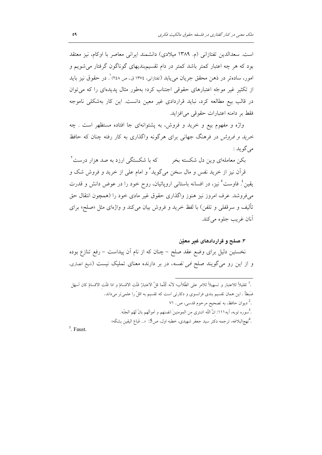است. سعدالدین تفتازانی (م. ۱۳۸۹ میلادی) دانشمند ایرانی معاصر با اوکام، نیز معتقد بود که هر چه اعتبار کمتر باشد کمتر در دام تقسیم.بندیهای گوناگون گرفتار میشویم و امور، سادهتر در ذهن محقق جریان م<sub>ی </sub>یابد (تفتازانی، ۱۳۷٤ ق.، ص ۲٤۸)<sup>٬</sup>. در حقوق نیز باید از تکثیر غیر موجّه اعتبارهای حقوقی اجتناب کرد؛ بهطور مثال پدیدهای را که میتوان در قالب بیع مطالعه کرد، نباید قراردادی غیر معین دانست. این کار بهشکلی ناموجه فقط بر دامنه اعتبارات حقوقی می افزاید.

واژه و مفهوم بيع و خريد و فروش، به پشتوانهاي جا افتاده مستظهر است . چه *خرید و فروش در فرهنگ جهانی برای هرگونه واگذاری به کار رفته چنان که حافظ* مي گو يد :

بکن معاملهای وین دل شکسته بخر که با شکستگی ارزد به صد هزار درست<sup>۲</sup> قرآن نیز از خرید نفس و مال سخن میگوید<sup>۳</sup> و امام علی از خرید و فروش شک و یقین ٔ فاوست ٔ نیز، در افسانه باستانی اروپائیان، روح خود را در عوض دانش و قدرت میفروشد. عرف امروز نیز هنوز واگذاری حقوق غیر مادی خود را (همچون انتقال حق تأليف و سرقفلي و تلفن) با لفظ خريد و فروش بيان مي كند و واژهاي مثل «صلح» براي آنان غريب جلوه مي کند.

#### ۳. صلح و قراردادهای غیر معتن

نخستین دلیل برای وضع عقد صلح – چنان که از نام آن پیداست – رفع تنازع بوده و از این رو میگویند صلح *فی نفسه*، در بر دارنده معنای تملیک نیست (شیخ انصاری،

|                       | . " تقليلاً للاعتبار و تسهيلاً للامر على الطَّلاّب؛ لأنَّه كُلُّما قلَّ الاعتبارُ قلَّتِ الاقسامُ و اذا قلّتِ الاقسامُ كان أسهَل |
|-----------------------|----------------------------------------------------------------------------------------------------------------------------------|
|                       | ضَبطاً . این همان تقسیم بندی فرانسوی و دکارتی است که تقسیم به اقلّ را علمیتر میداند.                                             |
|                       | . <sup>2</sup> دیوان حافظ، به تصحیح مرحوم قدسی، ص. ۷۱                                                                            |
|                       | . 'سوره توبه، أيه١١١: إنَّ اللَّه اشترى مِن المومنينَ انفسَهم و أموالَهم بانٌ لَهُم الجَنَّة.                                    |
|                       | . <sup>4</sup> نهجالبلاغه، ترجمه دكتر سيد جعفر شهيدى، خطبه اول، ص3:  «… فَباعَ اليقين بِشكَه»                                    |
| $\Gamma$ and $\Gamma$ |                                                                                                                                  |

 $5$  Faust.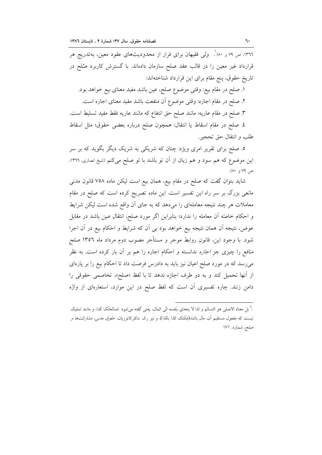۰۳٦٦، ص ۷۹ و ۸۰٪ <sub>.</sub> ول<sub>ی</sub> فقیهان برای فرار از محدودیتهای عقود معین، بهتدریج هر قرارداد غیر معین را در قالب عقد صلح سازمان دادهاند. با گسترش کاربرد صُلح در تاريخ حقوق، پنج مقام براي اين قرارداد شناختهاند:

١. صلح در مقام بيع: وقتى موضوع صلح، عين باشد مفيد معناى بيع خواهد بود. ٢. صلح در مقام اجاره: وقتى موضوع أن منفعت باشد مفيد معناى اجاره است. ٣. صلح در مقام عاريه: مانند صلح حق انتفاع كه مانند عاريه فقط مفيد تسليط است. ٤. صلح در مقام اسقاط يا انتقال: همچون صلح درباره بعضي حقوق؛ مثل اسقاط طلب و انتقال حق تحجير.

۵. صلح برای تقریر امری ویژه: چنان که شریکی به شریک دیگر بگوید که بر سر این موضوع که هم سود و هم زیان از آن تو باشد با تو صلح میکنم (شیخ انصاری، ١٣٦٦، ص ۷۹ و ۸۰).

شاید بتوان گفت که صلح در مقام بیع، همان بیع است لیکن ماده ۷۵۸ قانون مدنی مانعی بزرگ بر سر راه این تفسیر است. این ماده تصریح کرده است که صلح در مقام معاملات هر چند نتیجه معاملهای را میدهد که به جای آن واقع شده است لیکن شرایط و احکام خاصّه آن معامله را ندارد؛ بنابراین اگر مورد صلح، انتقال عین باشد در مقابل عوض، نتيجه أن همان نتيجه بيع خواهد بود بي أن كه شرايط و احكام بيع در أن اجرا شود. با وجود این، قانون روابط موجر و مستأجر مصوب دوم مرداد ماه ١٣٥٦ صلح *منافع* را چیزی جز *اجاره* ندانسته و احکام اجاره را هم بر آن بار کرده است. به نظر میرسد که در مورد صلح اعیان نیز باید به دادرس فرصت داد تا احکام بیع را بر پارهای از أنها تحميل كند و به دو طرف اجازه ندهد تا با لفظ «صلح»، تخاصمي حقوقي را دامن زنند. چاره تفسیری آن است که لفظ صلح در این موارد، استعارهای از واژه

<sup>.&</sup>lt;sup>1</sup> بل معناه الاصلى هو التسالم و لذا لا يتعدّى بنَفسه الَى المال، يعنى گفته مىشود :صالحَتُکَ کَذا، و مانند تمليک نیست که مفعول مستقیم آن، مال باشد(ملّلتک کذا بکذا)، و نیز رک .دکترکاتوزیان، حق*وق مدنی، مشارکتها و* صلح، شماره. ۱۷۱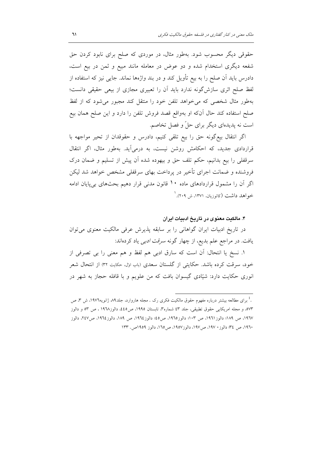حقوقی دیگر محسوب شود. بهطور مثال، در موردی که صلح برای نابود کردن حق شفعه دیگری استخدام شده و دو عوض در معامله مانند مبیع و ثمن در بیع است، دادرس باید آن صلح را به بیع تأویل کند و در بند واژهها نماند. جایبی نیز که استفاده از لفظ صلح اثری سازش گونه ندارد باید آن را تعبیری مجازی از بیعی حقیقی دانست؛ بهطور مثال شخصی که میخواهد تلفن خود را منتقل کند مجبور میشود که از لفظ صلح استفاده كند حال آنكه او بهواقع قصد فروش تلفن را دارد و اين صلح همان بيع است نه پدیدهای دیگر برای حلّ و فصل تخاصم.

اگر انتقال بيع گونه حق را بيع تلقى كنيم، دادرس و حقوقدان از تحير مواجهه با قراردادی جدید، که احکامش روشن نیست، به درمیآید. بهطور مثال، اگر انتقال سرقفلی را بیع بدانیم، حکم تلف حق و بیهوده شده اَن پیش از تسلیم و ضمان درک فروشنده و ضمانت اجرای تأخیر در پرداخت بهای سرقفلی مشخص خواهد شد لیکن اگر آن را مشمول قراردادهای ماده ۱۰ قانون مدنی قرار دهیم بحثهای بی پایان ادامه خواهد داشت (کاتوزیان، ۱۳۷۱، ش ۲۰۹). <sup>۱</sup>

۴. مالکیت معنوی در تاریخ ادبیات ایران

در تاریخ ادبیات ایران گواهانی را بر سابقه پذیرش عرفی مالکیت معنوی می توان یافت. در مراجع علم بدیع، از چهار گونه *سرقت ادبی* یاد کردهاند:

۱. نسخ یا انتحال: اَن است که سارق ادبی هم لفظ و هم معنی را بی تصرفی از خود، سرقت کرده باشد. حکایتی از گلستان سعدی (باب اول، حکایت ۳۲) از انتحال شعر انوری حکایت دارد: شیّادی گیسوان بافت که من علویم و با قافله حجاز به شهر در

<sup>.&</sup>lt;sup>1</sup> برای مطالعه بیشتر درباره مفهوم حقوق مالکیت فکری رک . مجله هاروارد، جلد۸۹ ژانویه۱۹۷۲، ش ۳، ص ٥٧٣، و مجله امريكايي حقوق تطبيقي، جلد ٤٣ شماره٣، تابستان ١٩٩٥، ص٤٤٥، دالوز١٩٦٨ ، ص ٥٣ و دالوز ١٩٦٧، ص ١٨٩؛ دالوز١٩٦١، ص ١٠٣؛ دالوز١٩٦٥، ص٤٥؛ دالوز١٩٦٤، ص ١٨٩، دالوز١٩٦٤، ص٤٧، دالوز ١٩٦٠، ص ٣٤؛ دالوز ١٩٧٠، ص١٩٧، دالوز١٩٥٧، ص١٦٥، دالوز ١٩٥٩ص. ١٣٣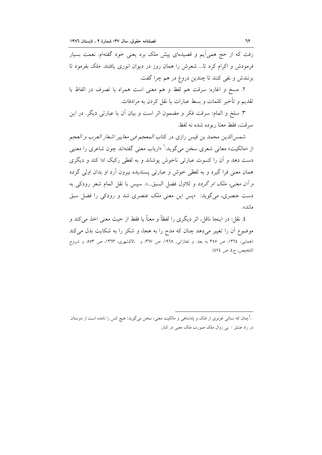رفت که از حج همیآیم و قصیدهای پیش ملک برد یعنی خود گفتهام. نعمت بسیار فرمودش و اکرام کرد تا… شعرش را همان روز در دیوان انوری یافتند. ملک بفرمود تا بزنندش و نفي كنند تا چندين دروغ در هم چرا گفت.

٢. مسخ و اغاره: سرقت هم لفظ و هم معنى است همراه با تصرف در الفاظ با تقديم و تأخير كلمات و بسط عبارات يا نقل كردن به مرادفات.

٣. سلخ و المام: سرقت فكر و مضمون اثر است و بيان أن با عبارتي ديگر. در اين سرقت، فقط معنا ربوده شده نه لفظ.

شمس|لدين محمد بن قيس رازي در كتاب *المعجم في معايير اشعار العرب و العجم* از «مالکیت» معانی شعری سخن میگوید:` «ارباب معنی گفتهاند چون شاعری را معنیی دست دهد و آن را کسوت عبارتی ناخوش پوشاند و به لفظی رکیک ادا کند و دیگری همان معنی فرا گیرد و به لفظی خوش و عبارتی پسندیده بیرون آرد او بدان اولی گردد *و أن معنى، ملك او گردد* و للاول فضل السبق…». سپس با نقل المام شعر رودكى به دست عنصری، میگوید: «پس این معنی *ملک عنصری شد و رودکی را فضل سبق* ماند».

٤. نقل: در اينجا ناقل، اثر ديگري را لفظاً و معناً يا فقط از حيث معنى اخذ ميكند و موضوع أن را تغییر میدهد چنان که مدح را به هجا، و شکر را به شکایت بدل میکند (همايي، ١٣٦٤، ص ٣٥٥ به بعد. و تفتازاني، ١٩٦٥، ص ٣٦٧، و الاقشهري، ١٣٦٣، ص ٥٥٣، و شروح التلخيص، ج٤، ص ٤٧٤).

<sup>.&</sup>lt;sup>1</sup>جنان که سنائ<sub>ی</sub> غزنوی از مُلک و پادشاه<sub>ی</sub> و مالکیت معنی، سخن میگوید: هیچ کس را نامده است از دوستان در راه عشق / بی زوال ملک صورت ملک معنی در کنار.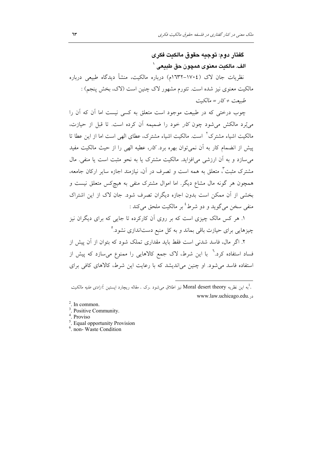كفتار دوم: توجيه حقوق مالكيت فكرى الف. مالكنت معنو ي همچو ن حق طنيعي `

نظریات جان لاک (١٧٠٤–١٦٣٢م) درباره مالکیت، منشأ دیدگاه طبیعی درباره مالکیت معنوی نیز شده است. تئورم مشهور لاک چنین است (لاک، بخش پنجم) : طبيعت + كار = مالكيت

چوب درختی که در طبیعت موجود است متعلق به کسی نیست اما آن که آن را می بُرد مالکش می شود چون کار خود را ضمیمه آن کرده است. تا قبل از حیازت، مالکیت اشیاء مشترک ْ است. مالکیت اشیاء مشترک، عطای الهی است اما از این عطا تا پیش از انضمام کار به آن نمی توان بهره برد. *کار*، عطیه الهی را از حیث مالکیت مفید می سازد و به آن ارزشی می افزاید. مالکیت مشترک یا به نحو مثبت است یا منفی. مال مشترک مثبت ٌ، متعلق به همه است و تصرف در آن، نیازمند اجازه سایر ارکان جامعه، همچون هر گونه مال مشاع دیگر. اما اموال مشترک منفی به هیچکس متعلق نیست و بخشی از آن ممکن است بدون اجازه دیگران تصرف شود. جان لاک از این اشتراک منفي سخن مي گويد و دو شرط<sup>؛</sup> پر مالکيت ملحق مي کند :

۱. هر کس مالک چیزی است که بر روی آن کارکرده تا جایی که برای دیگران نیز چیزهایی برای حیازت باقی بماند و به کل منبع دستاندازی نشود.<sup>ه</sup>

۲. اگر مال، فاسد شدنی است فقط باید مقداری تملک شود که بتوان از آن پیش از فساد استفاده کرد.<sup>٦</sup> با این شرط، لاک جمع کالاهایی را ممنوع میسازد که پیش از استفاده فاسد می شود. او چنین می اندیشد که با رعایت این شرط، کالاهای کافی برای

- <sup>5</sup>. Equal opportunity Provision
- $6$  non-Waste Condition

<sup>.&</sup>lt;br>. به این نظریه Moral desert theory نیز اطلاق می شود .رک . مقاله ریچارد ایستین *،آزادی علیه مالکیت* www.law.uchicago.edu. ..

 $2$ . In common.

<sup>&</sup>lt;sup>3</sup>. Positive Community.

Proviso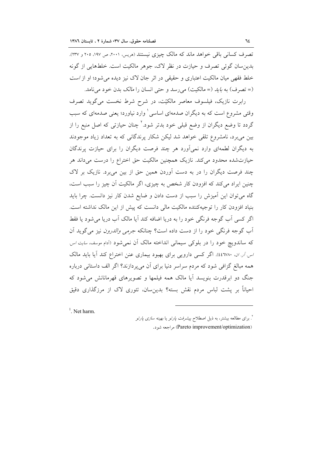تصرف کسانی باقی خواهد ماند که مالک چیزی نیستند (هریس، ۲۰۰۱، ص ۱۹۷، ۲۰۰ و ۲۳۷). بدین سان گوئی تصرف و حیازت در نظر لاک، جوهر مالکیت است. خلطهایی از گونه خلط فقهی میان مالکیت اعتباری و حقیقی در اثر جان لاک نیز دیده می شود؛ او از *است* (= تصرف) به *بايد* (= مالكيت) مي رسد و حتى انسان را *مالك* بدن خود مي نامد.

رابرت نازیک، فیلسوف معاصر مالکیّت، در شرح شرط نخست میگوید تصرف وقتی مشروع است که به دیگران صدمهای اساسی ٰ وارد نیاورد؛ یعنی صدمهای که سبب گردد تا وضع دیگران از وضع قبلی خود بدتر شود.<sup>۲</sup> چنان حیازت<sub>ی</sub> که اصل منبع را از بین میبرد، نامشروع تلقی خواهد شد لیکن شکار پرندگانی که به تعداد زیاد موجودند به دیگران لطمهای وارد نمیآورد هر چند فرصت دیگران را برای حیازت پرندگان حیازتشده محدود میکند. نازیک همچنین مالکیت حق اختراع را درست می<mark>داند هر</mark> چند فرصت دیگران را در به دست آوردن همین حق از بین میبرد. نازیک بر لاک چنین ایراد می کند که افزودن کار شخص به چیزی، اگر مالکیت آن چیز را سبب است، گاه میتوان این آمیزش را سبب از دست دادن و ضایع شدن کار نیز دانست. چرا باید بنیاد افزودن کار را توجیهکننده مالکیت مالی دانست که پیش از این مالک نداشته است. اگر کسی آب گوجه فرنگی خود را به دریا اضافه کند آیا مالک آب دریا می شود یا فقط اّب گوجه فرنگی خود را از دست داده است؟ چنانکه *جرمی والدرون* نیز می گوید اَن که ساندویچ خود را در بلوکی سیمانی انداخته مالک آن نمی شود (اَدام موسف، *سایت اس* اس آر. ان. ٤٤٦٧٨٠). اگر كسى دارويى براى بهبود بيمارى عنن اختراع كند آيا بايد مالك همه مبالغ گزافی شود که مردم سراسر دنیا برای آن می پردازند؟ اگر الف داستانی درباره جنگ دو ابرقدرت بنویسد آیا مالک همه فیلمها و تصویرهای قهرمانانش میشود که احیاناً بر یشت لباس مردم نقش بسته؟ بدین سان، تئوری لاک از مرزگذاری دقیق

 $<sup>1</sup>$ . Net harm.</sup>

<sup>٬</sup>. برای مطالعه بیشتر، به ذیل اصطلاح پیشر*فت پارتو* یا *بهینه سازی پارتو* (Pareto improvement/optimization) مراجعه شود.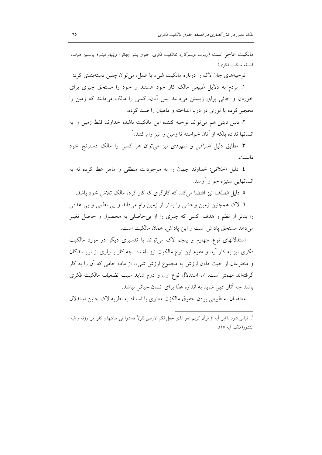مالکیت عاجز است (*رابرت اوسترگارد* :مالکیت فکری، حقوق بشر جهانی؛ *ویلیام فیشر*؛ *یوستین هوف*، فلسفه مالكيت فكرى).

توجیههای جان لاک را درباره مالکیت شیء با عمل، میتوان چنین دستهبندی کرد:

۱. مردم به دلایل طبیعی مالک کار خود هستند و خود را مستحق چیزی برای خوردن و جائی برای زیستن میدانند پس آنان، کسی را مالک میدانند که زمین را تحجیر کرده یا توری در دریا انداخته و ماهیان را صید کرده.

٢. دليل ديني هم مي تواند توجيه كننده اين مالكيت باشد؛ خداوند فقط زمين را به انسانها نداده بلکه از آنان خواسته تا زمین را نیز رام کنند. `

۳. مطابق دلیل *اشراقی و شهودی* نیز می توان هر کسی را مالک دسترنج خود دانست.

٤. دليل اخلاقي: خداوند جهان را به موجودات منطقى و ماهر عطا كرده نه به انسانهایی ستیزه جو و آزمند.

٥. دلیل *انصاف نیز اقتضا می کند که کارگری که کار کرده مالک تلاش خود باشد.* 

٦. لاک همچنین زمین وحشی را بدتر از زمین رام میداند و بی نظمی و بی هدفی را بدتر از نظم و هدف. کسی که چیزی را از بی حاصلی به محصول و حاصل تغییر مي دهد مستحق ياداش است و اين ياداش، همان مالكيت است.

استدلالهای نوع چهارم و پنجم لاک می تواند با تفسیری دیگر در مورد مالکیت فکری نیز به کار آید و مقوم این نوع مالکیت نیز باشد؛ چه کار بسیاری از نویسندگان و مخترعان از حیث دادن ارزش به مجموع ارزش شیء، از ماده خامی که آن را به کار گرفتهاند مهمتر است. اما استدلال نوع اول و دوم شاید سبب تضعیف مالکیت فکری باشد چه آثار ادبی شاید به اندازه غذا برای انسان حیاتی نباشد.

معتقدان به طبیعی بودن حقوق مالکتت معنوی با استناد به نظریه لاک چنین استدلال

<sup>&#</sup>x27;. قياس شود با اين أيه از قرآن كريم :هو الذي جعل لكم الارض ذلولاً فامشوا في مناكبها و كلوا من رزقه و اليه النشور(ملک، آیه ۱۵).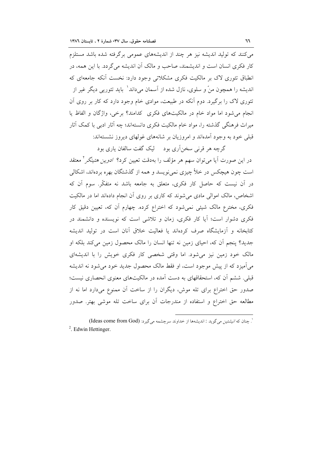می کنند که تولید اندیشه نیز هر چند از اندیشههای عمومی برگرفته شده باشد مستلزم کار فکری انسان است و اندیشمند، صاحب و مالک آن اندیشه می گردد. با این همه، در انطباق تئوری لاک بر مالکیت فکری مشکلاتی وجود دارد: نخست أنکه جامعهای که اندیشه را همچون منّ و سلوی، نازل شده از آسمان می۱داند٬ پاید تئورپی دیگر غیر از تئوری لاک را برگیرد. دوم اَنکه در طبیعت، موادی خام وجود دارد که کار بر روی اَن انجام می شود اما مواد خام در مالکیتهای فکری کدامند؟ برخی، واژگان و الفاظ یا میراث فرهنگی گذشته را، مواد خام مالکیت فکری دانستهاند؛ چه آثار ادبی با کمک آثار قبلی خود به وجود آمدهاند و امروزیان بر شانههای غولهای دیروز نشستهاند:

گرچه هر قرنی سخنآری بود لیک گفت سالفان پاری بود در این صورت آیا میٍتوان سهم هر مؤلف را بهدقت تعیین کرد؟ *ادوین هتینگر*` معتقد است چون هیچکس در خلأ چیزی نمی نویسد و همه از گذشتگان بهره بردهاند، اشکالی در آن نیست که حاصل کار فکری، متعلق به جامعه باشد نه متفکّر. سوم آن که اشخاص، مالک اموالی مادی میشوند که کاری بر روی آن انجام دادهاند اما در مالکیت فکری، مخترع مالک شیئی نمیشود که اختراع کرده. چهارم آن که، تعیین دقیق کار فکری دشوار است؛ آیا کار فکری، زمان و تلاشی است که نویسنده و دانشمند در کتابخانه و آزمایشگاه صرف کردهاند یا فعالیت خلاق آنان است در تولید اندیشه جدید؟ ینجم آن که، احیای زمین نه تنها انسان را مالک محصول زمین می کند بلکه او مالک خود زمین نیز می شود. اما وقتی شخصی کار فکری خویش را با اندیشهای می آمیزد که از پیش موجود است، او فقط مالک محصول جدید خود می شود نه اندیشه قبلی. ششم آن که، استحقاقهای به دست آمده در مالکیتهای معنوی انحصاری نیست؛ صدور حق اختراع برای تله موش، دیگران را از ساخت آن ممنوع میدارد اما نه از مطالعه حق اختراع و استفاده از مندرجات آن برای ساخت تله موشی بهتر. صدور

<sup>`.</sup> چنان كه *انيشتين مي گو*يد : انديشهها از خداوند سرچشمه مي گيرد: (Ideas come from God)  $2$  Edwin Hettinger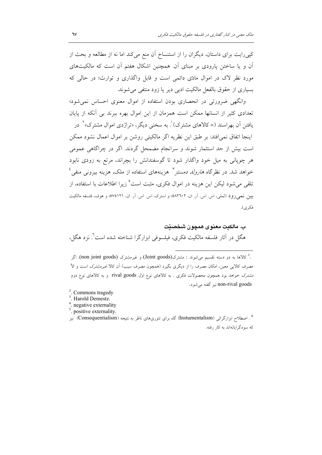کپیرایت برای داستان، دیگران را از استنساخ آن منع میکند اما نه از مطالعه و بحث از آن و یا ساختن پارودی بر مبنای آن. همچنین اشکال هفتم آن است که مالکیتهای مورد نظر لاک در اموال مادّی دائمی است و قابل واگذاری و توارث؛ در حالی که بسیاری از حقوق بالفعل مالکیت ادبی دیر یا زود منتفی می شوند.

وانگهی ضرورتی در انحصاری بودن استفاده از اموال معنوی احساس نمی شود؛ تعدادی کثیر از انسانها ممکن است همزمان از این اموال بهره ببرند بی آنکه از پایان یافتن اَن بھراسند (= کالاهای مشترک)'. به سخنی دیگر، «تراژدی اموال مشترک»<sup>۲</sup> در اينجا اتفاق نمي افتد: بر طبق اين نظريه اگر مالكيتي روشن بر اموال اعمال نشود ممكن است بیش از حد استثمار شوند و سرانجام مضمحل گردند. اگر در چراگاهی عمومی هر چوپانی به میل خود واگذار شود تا گوسفندانش را بچراند، مرتع به زودی نابود خواهد شد. در نظرگاه *هارولد دمستز* " هزینههای استفاده از ملک، هزینه بیرون<sub>ی</sub> منفی <sup>؛</sup> تلقی میشود لیکن این هزینه در اموال فکری، مثبت است<sup>6</sup> زیرا اطلاعات با استفاده، از بيين نمي رود (لملي، اس اس آر. ان، ٥٨٢٦٠٢؛ و استرك، اس اس آر. ان، ٥٧٥١٢١؛ و هوف، فلسفه مالكيت فكري).

ب. مالكيت معنوى همچون شخصيّت هگل در آثار فلسفه مالکیت فکری، فیلسوفی ابزارگرا شناخته شده است". نزد هگل،

.<sup>1</sup> كالاها به دو دسته تقسيم مي شوند : مشترك(Joint goods) و غيرمشترك (non joint goods). اگر مصرف کالایی معین، امکان مصرف را از دیگری بگیرد (همچون مصرف سیب) آن کالا غیرمشترک است و الاً .<br>مشترک خواهد بود همچون محصولات فکری . به کالاهای نوع اول rival goods و به کالاهای نوع دوم non-rival goods نيز گفته مي شود.

- <sup>2</sup>. Commons tragedy
- <sup>3</sup>. Harold Demestz.
- <sup>4</sup>. negative externality
- . positive externality.

<sup>6</sup> . اصطلاح ابزارگرائی (Instumentalism) گاه برای تئوری،های ناظر به نتیجه (Consequentialism) نیز که سودگرایانهاند به کار رفته.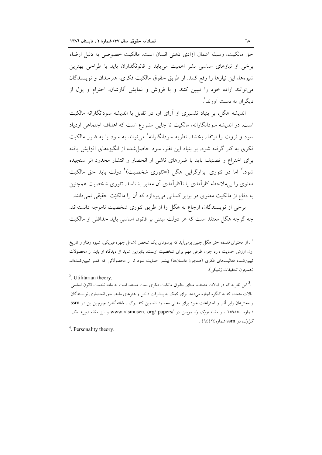حق مالکیت، وسیله اعمال آزادی ذهنی انسان است. مالکیت خصوصی به دلیل ارضاء برخی از نیازهای اساسی بشر اهمیت میbبابد و قانونگذاران باید با طراحی بهترین شيوهها، اين نيازها را رفع كنند. از طريق حقوق مالكيت فكرى، هنرمندان و نويسندگان می توانند اراده خود را تبیین کنند و با فروش و نمایش آثارشان، احترام و یول از دیگران به دست آورند'.

اندیشه هگل، بر بنیاد تفسیری از آرای او، در تقابل با اندیشه سودانگارانه مالکیت است. در اندیشه سودانگارانه، مالکیت تا جایی مشروع است که اهداف اجتماعی ازدیاد سود و ثروت را ارتقاء بخشد. نظریه سودانگارانه<sup>۲</sup> می¤واند به سود یا به ضرر مالکیت فکری به کار گرفته شود. بر بنیاد این نظر، سود حاصل شده از انگیزههای افزایش یافته برای اختراع و تصنیف باید با ضررهای ناشی از انحصار و انتشار محدود اثر سنجیده شود.<sup>۳</sup> اما در تئوری ابزارگرایی هگل (=تئوری شخصیت)<sup>؛</sup> دولت باید حق مالکیت معنوی را برملاحظه کارآمدی یا ناکارآمدی آن معتبر بشناسد. تئوری شخصیت همچنین به دفاع از مالکیت معنوی در برابر کسانی میپردازد که آن را مالکیّت حقیقی نمیدانند.

برخی از نویسندگان، ارجاع به هگل را از طریق تئوری شخصیت ناموجه دانستهاند. چه گرچه هگل معتقد است که هر دولت مبتنی بر قانون اساسی باید حداقلی از مالکیت

<sup>2</sup>. Utilitarian theory.

<sup>.&</sup>lt;br><sup>1</sup> . از محتوای *فلسفه حق* هگل چنین برمیآید که پرسونای یک شخص (شامل چهره فیزیکی، شیوه رفتار و تاریخ او)، ارزش حمایت دارد چون ظرفی مهم برای شخصیت اوست. بنابراین شاید از دیدگاه او باید از محصولات تبیین کننده فعالیتهای فکری (همچون داستانها) بیشتر حمایت شود تا از محصولاتی که کمتر تبیین کنندهاند (همجون تحقيقات ژنتيكي).

<sup>.&</sup>lt;sup>3</sup> این نظریه که در ایالات متحده، مبنای حقوق مالکیت فکری است مستند است به ماده نخست قانون اساسی ایالات متحده که به کنگره اجازه میدهد برای کمک به پیشرفت دانش و هنرهای مفید، حق انحصاری نویسندگان و مخترعان رابر آثار و اختراعات خود براى مدتى محدود تضمين كند .رك . *مقاله ألفرد چوچين ين* در SSrn شماره ۲٥٩٥٥٠ ، و مقاله *اریک راسموسن در www.rasmusen. org/ papers/ و نیز مقاله دیوید مک* گر*اول*، در SSM شماره ٤٩٤٤٢٤ .

 $4$  Personality theory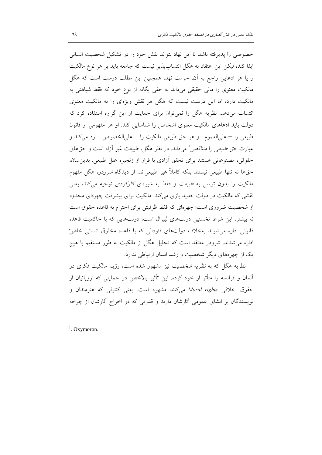خصوصی را پذیرفته باشد تا این نهاد بتواند نقش خود را در تشکیل شخصیت انسانی ايفا كند، ليكن اين اعتقاد به هگل انتسابپذير نيست كه جامعه بايد بر هر نوع مالكيت و یا هر ادعایی راجع به آن، حرمت نهد. همچنین این مطلب درست است که هگل مالکیت معنوی را مالی حقیقی میداند نه حقی یگانه از نوع خود که فقط شباهتی به مالکیت دارد، اما این درست نیست که هگل هر نقش ویژهای را به مالکیت معنوی انتساب می دهد. نظریه هگل را نمی توان برای حمایت از این گزاره استفاده کرد که دولت باید ادعاهای مالکیت معنوی اشخاص را شناسایی کند. او هر مفهومی از قانون طبیعی را – علیالعموم- و هر حق طبیعی مالکیت را - علیالخصوص - رد میکند و عبارت *حق طبیعی را متناقض* ٰ میداند. در نظر هگل، طبیعت غیر اَزاد است و حقهای حقوقی، مصنوعاتی هستند برای تحقق أزادی با فرار از زنجیره علل طبیعی. بدین سان، حقها نه تنها طبیعی نیستند بلکه کاملاً غیر طبیعیاند. از دیدگاه *شرودر*، هگل مفهوم مالکیت را بدون توسل به *طبیعت و فقط به شیو*های *کارکردی* توجیه میکند، یعنی نقشی که مالکیت در دولت جدید بازی میکند. مالکیت برای پیشرفت چهرهای محدود از شخصیت ضروری است؛ چهرهای که فقط ظرفیتی برای احترام به قاعده حقوق است نه بیشتر. این شرط نخستین دولتهای لیبرال است؛ دولتهایی که با حاکمیت قاعده قانونی اداره می شوند بهخلاف دولتهای فئودالی که با قاعده مخلوق انسانی خاصّ اداره میشدند. شرودر معتقد است که تحلیل هگل از مالکیت به طور مستقیم با هیچ یک از چهرههای دیگر شخصیت و رشد انسان ارتباطی ندارد.

نظریه هگل که به *نظریه شخصیت* نیز مشهور شده است، رژیم مالکیت فکری در آلمان و فرانسه را متأثر از خود کرده. این تأثیر بالاخص در حمایتی که اروپائیان از حقوق اخلاقی Moral rights میکنند مشهود است: یعنی کنترلی که هنرمندان و نویسندگان بر انشای عمومی آثارشان دارند و قدرتی که در اخراج آثارشان از چرخه

<sup>1</sup> Oxymoron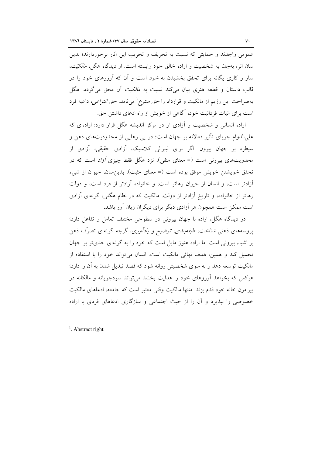عمومی واجدند و حمایتی که نسبت به تحریف و تخریب این آثار برخوردارند؛ بدین سان اثر، بهجد، به شخصیت و اراده خالق خود وابسته است. از دیدگاه هگل، *مالکیّت*، ساز و کاری یگانه برای تحقق بخشیدن به خود است و آن که آرزوهای خود را در قالب داستان و قطعه هنري بيان مي كند نسبت به *مالكيت* آن محق مي گردد. هگل بهصراحت این رژیم از مالکیت و قرارداد را حق *منتزع` می*نامد. حق *انتزاعی*، داعیه فرد است برای اثبات فردانیت خود؛ آگاهی از خویش از راه ادعای داشتن حق.

اراده انسانی و شخصیت و آزادی او در مرکز اندیشه هگل قرار دارد: ارادهای که علیالدوام جویای تأثیر فعالانه بر جهان است؛ در پی رهایی از محدودیتهای ذهن و سیطره بر جهان بیرون. اگر برای لیبرالی کلاسیک، آزادی حقیقی، آزادی از محدویتهای بیرونی است (= معنای منفی)، نزد هگل فقط چیزی *آزاد* است که در تحقق خويشتن خويش موفق بوده است (= معناى مثبت). بدين سان، حيوان از شيء آزادتر است، و انسان از حیوان رهاتر است، و خانواده آزادتر از فرد است، و دولت رهاتر از خانواده، و تاریخ آزادتر از دولت. مالکیت که در نظام هگلی، گونهای آزادی است ممکن است همچون هر آزادی دیگر برای دیگران زیان آور باشد.

در دیدگاه هگل، اراده با جهان بیرونی در سطوحی مختلف تعامل و تفاعل دارد؛ پروسههای ذهنی *شناخت، طبقهبندی، توضیح و یادآوری،* گرچه گونهای تصرّف ذهن بر اشیاء بیرونی است اما اراده هنوز مایل است که خود را به گونهای جدیتر بر جهان تحميل كند و همين، هدف نهائي مالكيت است. انسان مي تواند خود را با استفاده از مالکیت توسعه دهد و به سوی شخصیتی روانه شود که قصد تبدیل شدن به آن را دارد؛ هرکس که بخواهد آرزوهای خود را هدایت بخشد می تواند سودجویانه و مالکانه در پیرامون خانه خود قدم بزند. منتها مالکیت وقتی معتبر است که جامعه، ادعاهای مالکیت خصوصی را بیذیرد و آن را از حیث اجتماعی و سازگاری ادعاهای فردی با اراده

 $<sup>1</sup>$  Abstract right</sup>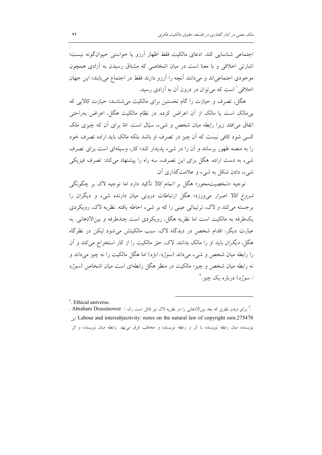اجتماعی شناسایی کند. ادعای مالکیت فقط اظهار آرزو یا خواستی حیوانگونه نیست؛ اشارتی اخلاقی و با معنا است در میان اشخاصی که مشتاق رسیدن به آزادی همچون موجودي اجتماعي اند و مي دانند آنچه را آرزو دارند فقط در اجتماع مي يابند؛ اين جهان اخلاقی ٰ است که می توان در درون آن به آزادی رسید.

هگل، تصرف و حیازت را گام نخستین برای مالکیت می شناسد؛ حیازت کالایی که بیِمالک است یا مالک از آن اعراض کرده. در نظام مالکیت هگل، اعراض بهراحتی اتفاق می افتد زیرا رابطه میان شخص و شیء، سیّال است. امّا برای آن که چیزی ملک کسی شود کافی نیست که اَن چیز در تصرف او باشد بلکه مالک باید اراده تصرف خود را به منصه ظهور برساند و آن را در شیء پدیدار کند؛ کار، وسیلهای است برای تصرف شیء به دست اراده. هگل برای این تصرف، سه راه را پیشنهاد میکند: تصرف فیزیکی شيء، دادن شکل به شيء و علامتگذاري آن.

توجیه «شخصیتمحور» هگل بر *اتمام کالا* تأکید دارد اما توجیه لاک بر چگونگی *شروع کالا* اصرار می ورزد؛ هگل ارتباطات درونی میان دارنده شیء و دیگران را برجسته می کند و لاک، ترتیباتی عینی را که بر شیء احاطه یافته. نظریه لاک، رویکردی يکطرفه به مالکيت است اما نظريه هگل، رويکردي است چندطرفه و بين|لاذهاني. به عبارت دیگر، اقدام شخص در دیدگاه لاک، سبب مالکیتش می شود لیکن در نظرگاه هگل، *دیگران* باید او را مالک بدانند. لاک، حق مالکیت را از کار استخراج می کند و آن را رابطه ميان شخص و شيء مي داند (*سوژه/ابژه*) اما هگل مالکيت را نه چيز مي داند و نه رابطه میان شخص و چیز؛ مالکیت در منظر هگل رابطهای است میان اشخاص (سوژه /سوژه) درباره یک چیز .<sup>۲</sup>

 $<sup>1</sup>$ . Ethical universe.</sup>

<sup>.</sup> لبرای دیدن نظری که بعد بینالاذهانی را در نظریه لاک نیز قائل است رک : Abraham Drassinower . Labour and intersubjectivity: nores on the natural law of copyright ssrn.275470 نويسنده ميان رابطه نويسنده با اثر و رابطه نويسنده و مخاطب فرق مى نهد .رابطه ميان نويسنده و اثر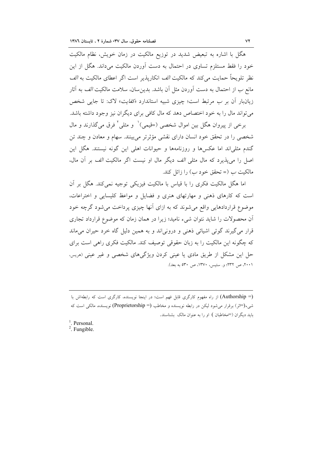هگل با اشاره به تبعیض شدید در توزیع مالکیت در زمان خویش، نظام مالکیت خود را فقط مستلزم تساوی در احتمال به دست آوردن مالکیت میداند. هگل از این نظر تلويحاً حمايت مي كند كه مالكيت *الف* انكاريذير است اگر اعطاي مالكيت به *الف* مانع ب از احتمال به دست آوردن مثل آن باشد. بدین سان، سلامت مالکیت *الف* به آثار زیانبار آن بر ب مرتبط است؛ چیزی شبیه استاندارد «*کفایت*» لاک: تا جایی شخص می تواند مال را به خود اختصاص دهد که مال کافی برای دیگران نیز وجود داشته باشد.

برخي از پيروان هگل بين اموال شخصي (=قيمي)` و مثلي` فرق مي گذارند و مال شخصی را در تحقق خود انسان دارای نقشی مؤثرتر میبینند. سهام و معادن و چند تن گندم مثلیاند اما عکسها و روزنامهها و حیوانات اهلی این گونه نیستند. هگل این اصل را می پذیرد که مال مثلی *الف* دیگر مال او نیست اگر مالکیت *الف* بر آن مال، مالکیت ب (= تحقق خود ب) را زائل کند.

اما هگل مالکیت فکری را با قیاس با مالکیت فیزیکی توجیه نمی کند. هگل بر آن است که کارهای ذهنی و مهارتهای هنری و فضایل و مواعظ کلیسایی و اختراعات، موضوع قراردادهایی واقع میشوند که به ازای آنها چیزی پرداخت میشود گرچه خود آن محصولات را شاید نتوان شیء نامید؛ زیرا در همان زمان که موضوع قرارداد تجاری قرار می گیرند گوئی اشیائی ذهنی و درونی اند و به همین دلیل گاه خرد حیران می ماند که چگونه این مالکیت را به زبان حقوقی توصیف کند. مالکیت فکری راهی است برای حل این مشکل از طریق مادی یا عینی کردن ویژگیهای شخصی و غیر عینی (مریس، ۲۰۰۱، ص ۲۳۲؛ و. ستیس، ۱۳۷۰، ص ۵۳۰ به بعد).

<sup>(=</sup> Authorship) از راه مفهوم كاركرى قابل فهم است؛ در اينجا نويسنده، كاركرى است كه رابطهاش با شيء(=اثر) برقرار مي شود ليكن در رابطه نويسنده و مخاطب (Proprietorship =) نويسنده، مالكي است كه باید دیگران (=مخاطبان ) او را به عنوان مالک بشناسند.

 $<sup>1</sup>$ . Personal.</sup>  $2.$  Fungible.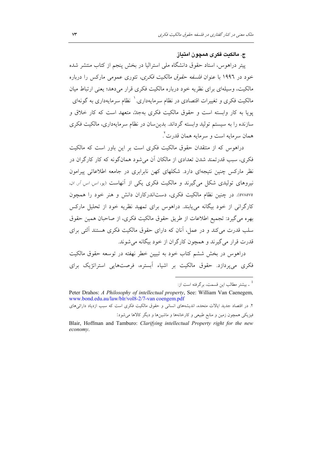### ج. مالكنت فكرى همچون امتناز

پیتر دراهوس، استاد حقوق دانشگاه ملی استرالیا در بخش پنجم از کتاب منتشر شده خود در ۱۹۹۲ با عنوان *فلسفه حقوق مالکیت فکری*، تئوری عمومی مارکس را درباره مالکیت، وسیلهای برای نظریه خود درباره مالکیت فکری قرار می دهد؛ یعنی ارتباط میان مالکیت فکری و تغییرات اقتصادی در نظام سرمایهداری. ` نظام سرمایهداری به گونهای یویا به کار وابسته است و حقوق مالکیت فکری بهجدته متعهد است که کار خلاق و سازنده را به سیستم تولید وابسته گرداند. بدین سان در نظام سرمایهداری، مالکیت فکری همان سرمايه است و سرمايه همان قدرت ً.

دراهوس که از منتقدان حقوق مالکیت فکری است بر این باور است که مالکیت فکری، سبب قدرتمند شدن تعدادی از مالکان آن می شود همانگونه که کار کارگران در نظر مارکس چنین نتیجهای دارد. شکلهای کهن نابرابری در جامعه اطلاعاتی پیرامون نیروهای تولیدی شکل می گیرند و مالکیت فکری یکی از آنهاست (یو، *اس اس آر ان*، ٥٧٨٥٧٥). در چنین نظام مالکیت فکری، دستاندرکاران دانش و هنر خود را همچون کارگرانی از خود بیگانه می پابند. دراهوس برای تمهید نظریه خود از تحلیل مارکس بهره مي گيرد: تجميع اطلاعات از طريق حقوق مالكيت فكرى، از صاحبان همين حقوق سلب قدرت می کند و در عمل، آنان که دارای حقوق مالکیت فکری هستند آلتی برای قدرت قرار مي گيرند و همچون كارگران از خود بيگانه مي شوند.

دراهوس در بخش ششم کتاب خود به تبیین خطر نهفته در توسعه حقوق مالکیت فکری می پردازد. حقوق مالکیت بر اشیاء آبستره، فرصتهایی استراتژیک برای

ی سشتر مطالب این قسمت، برگرفته است از:  $^{-1}$ 

Peter Drahos: A Philosophy of intellectual property, See: William Van Caenegem, www.bond.edu.au/law/blr/vol8-2/7-van coengem.pdf ۲. در اقتصاد جدید ایالات متحده، اندیشههای انسانی و حقوق مالکیت فکری است که سبب ازدیاد دارائی های فیزیکی همچون زمین و منابع طبیعی و کارخانهها و ماشینها و دیگر کالاها میشود:

Blair, Hoffman and Tamburo: Clarifying intellectual Property right for the new economy.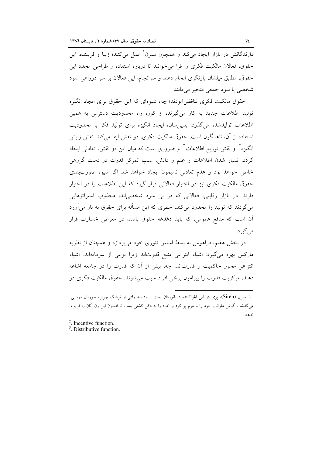دارندگانش در بازار ایجاد میکند و همچون سیرن عمل میکنند؛ زیبا و فریبنده. این حقوق، فعالان مالکیت فکری را فرا می خوانند تا درباره استفاده و طراحی مجدد این حقوق، مطابق میلشان بازنگری انجام دهند و سرانجام، این فعالان بر سر دوراهی سود شخصي يا سود جمعي متحير مي مانند.

حقوق مالکیت فکری تناقض آلودند؛ چه، شیوهای که این حقوق برای ایجاد انگیزه تولید اطلاعات جدید به کار میگیرند، از کوره راه محدودیت دسترس به همین اطلاعات تولیدشده می گذرد. بدین سان، ایجاد انگیزه برای تولید فکر با محدودیت استفاده از آن، ناهمگون است. حقوق مالکیت فکری، دو نقش ایفا میکند: نقش زایش انگیزه<sup>۲</sup> و نقش توزیع اطلاعات<sup>۳</sup> و ضروری است که میان این دو نقش، تعادل<sub>ی</sub> ایجاد گردد. تلنبار شدن اطلاعات و علم و دانش، سبب تمرکز قدرت در دست گروهی خاص خواهد بود و عدم تعادلی نامیمون ایجاد خواهد شد اگر شیوه صورتبندی حقوق مالکیت فکری نیز در اختیار فعالانی قرار گیرد که این اطلاعات را در اختیار دارند. در بازار رقابتی، فعالانی که در پی سود شخصیاند، مجذوب استراتژهایی میگردند که تولید را محدود میکند. خطری که این مسأله برای حقوق به بار میآورد آن است که منافع عمومی، که باید دغدغه حقوق باشد، در معرض خسارت قرار می گیر د.

در بخش هفتم، دراهوس به بسط اساس تئوری خود میپردازد و همچنان از نظریه مارکس بهره میگیرد: اشیاء انتزاعی منبع قدرتاند زیرا نوعی از سرمایهاند. اشیاء انتزاعی محور حاکمیت و قدرتاند؛ چه، بیش از آن که قدرت را در جامعه اشاعه دهند، مرکزیت قدرت را پیرامون برخی افراد سبب می شوند. حقوق مالکیت فکری در

<sup>.&</sup>lt;br>سیرن (Siren)، پری دریایی اغواکننده دریانوردان است . اودیسه وقتی از نزدیک جزیره حوریان دریایی . می گذشت گوش ملوانان خود را با موم پر کرد و خود را به دکل کشتی بست تا افسون این زن آنان را فریب ندهد.

 $2$ . Incentive function.

<sup>&</sup>lt;sup>3</sup> Distributive function.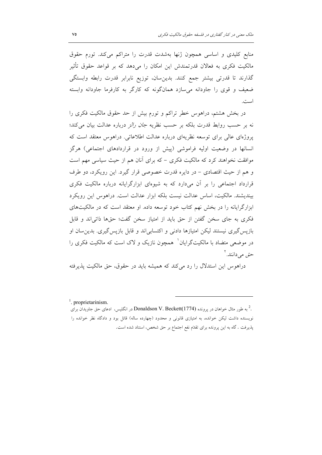منابع کلیدی و اساسی همچون ژنها بهشدت قدرت را متراکم میکند. تورم حقوق مالکیت فکری به فعالان قدرتمندش این امکان را میدهد که بر قواعد حقوق تأثیر گذارند تا قدرتی بیشتر جمع کنند. بدین سان، توزیع نابرابر قدرت رابطه وابستگی ضعیف و قوی را جاودانه می سازد همانگونه که کارگر به کارفرما جاودانه وابسته است.

در بخش هشتم، دراهوس خطر تراکم و تورم بیش از حد حقوق مالکیت فکری را نه بر حسب روابط قدرت بلكه بر حسب نظريه *جان رالز* درباره عدالت بيان مي كند؛ پروژهای عالی برای توسعه نظریهای درباره عدالت اطلاعاتی. دراهوس معتقد است که انسانها در وضعیت اولیه فراموشی (پیش از ورود در قراردادهای اجتماعی) هرگز موافقت نخواهند کرد که مالکیت فکری – که برای آنان هم از حیث سیاسی مهم است و هم از حیث اقتصادی – در دایره قدرت خصوصی قرار گیرد. این رویکرد، دو طرف قرارداد اجتماعی را بر آن میدارد که به شیوهای ابزارگرایانه درباره مالکیت فکری بیندیشند. مالکیت، اساس عدالت نیست بلکه ابزار عدالت است. دراهوس این رویکرد ابزارگرایانه را در بخش نهم کتاب خود توسعه داده. او معتقد است که در مالکیتهای فکری به جای سخن گفتن از حق باید از امتیاز سخن گفت؛ حقها ذاتی اند و قابل بازپس گیری نیستند لیکن امتیازها دادنی و اکتسابی اند و قابل بازپس گیری. بدین سان او در موضعی متضاد با مالکیتگرایان ٔ همچون نازیک و لاک است که مالکیت فکری را حق می دانند.<sup>۲</sup>

دراهوس این استدلال را رد می کند که همیشه باید در حقوق، حق مالکیت پذیرفته

 $\frac{1}{2}$ . proprietarinism.

به طور مثال خواهان در پرونده Donaldson V. Beckett(1774) در انگلیس، ادعای حق جاویدان برای  $^2$ . نویسنده داشت لیکن خوانده، به امتیازی قانونی و محدود (چهارده ساله) قائل بود و دادگاه نظر خوانده را پذیرفت . گاه به این پرونده برای تقدّم نفع اجتماع بر حق شخص، استناد شده است.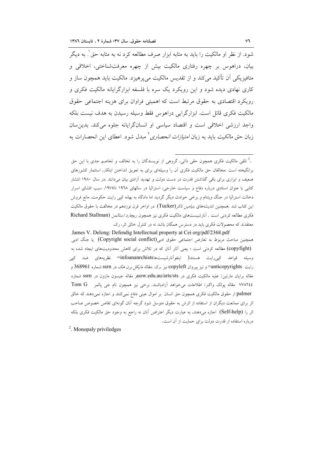شود. از نظر او مالکیت را باید به مثابه ابزار صرف مطالعه کرد نه به مثابه حق ٰ. به دیگر بیان، دراهوس بر چهره رفتاری مالکیت بیش از چهره معرفتشناختی، اخلاقی و متافیزیکی اَن تأکید می کند و از تقدیس مالکیت می پرهیزد. مالکیت باید همچون ساز و کاری نهادی دیده شود و این رویکرد یک سره با فلسفه ابزارگرایانه مالکیت فکری و رویکرد اقتصادی به حقوق مرتبط است که اهمیتی فراوان برای هزینه اجتماعی حقوق مالکیت فکری قائل است. ابزارگرایی دراهوس فقط وسیله رسیدن به هدف نیست بلکه واجد ارزشی اخلاقی است و اقتصاد سیاسی او انسانگرایانه جلوه می کند. بدین سان زبان *حق مالكيت* بايد به زبان *امتيازات انحصاري* ً مبدل شود. اعطاي اين انحصارات به

James V. Delong: Defendig Intellectual property at Cei org/pdf/2368.pdf همچنین مباحث مربوط به تعارض اجتماعی حقوق ادبی(Copyright social conflict) یا جنگ ادبی (copyfight) مطالعه کردنی است ؛ یعنی آثار آنان که در تلاش برای کاهش محدودیتهای ایجاد شده به وسیله قواعد کپیرایت هستند( اینفوآنارشیستهاmfoananrchists)= نظریههای ضد کپی رایت anticopyrights=و نیز پیروان copyleft نیز .رک .مقاله *مایکل برن هک* در ssrn شماره 368961 و مقاله برايان مارتين: عليه مالكيت فكرى در uow.edu.au/arts/stsوuow.edu.au/arts/ شماره ٧٧٨٢٤٤ مقاله پولک واگنر: اطلاعات میخواهد آزادباشند. برخی نیز همچون تام جی پالمر Tom G palmer از حقوق مالکیت فکری همچون حق انسان بر اموال عینی دفاع نمیکنند و اجازه نمی دهند که خالق اثر برای ممانعت دیگران از استفاده از اثرش به حقوق متوسل شود گرچه آنان گونهای تقاص خصوص صاحب اثر را (Self-help) اجازه میدهند، به عبارت دیگر اعتراض آنان نه راجع به وجود حق مالکیت فکری بلکه درباره استفاده از قدرت دولت برای حمایت از آن است.

<sup>2</sup>. Monopaly priviledges

<sup>.&</sup>lt;sup>1</sup> تلقی مالکیت فکری همچون حقی ذاتی، گروهی از نویسندگان را به تخالف و تخاصم جدی با این حق برانگیخته است .مخالفان حق مالکیت فکری آن را وسیلهای برای به تعویق انداختن ابتکار، استثمار کشورهای ضعیف و ابزاری برای باقی گذاشتن قدرت در دست دولت و تهدید آزادی بیان میدانند .در سال ۱۹۸۰ انتشار کتابی با عنوان اسنادی درباره دفاع و سیاست خارجی، استرالیا در سالهای ۱۹۳۸ تا۱۹۷۵، سبب افشای اسرار دخالت استرالیا در جنگ ویتنام و برخی حوادث دیگر گردید اما دادگاه به بهانه کپی رایت حکومت، مانع فروش این کتاب شد .همچنین اندیشههای *بنیامین تاکر (*Tucker) در اواخر قرن نوزدهم در مخالفت با حقوق مالکیت فكرى مطالعه كردنى است . آنارشيست هاى مالكيت فكرى نيز همچون ريچارد استالمن (Richard Stallman معتقدند که محصولات فکری باید در دسترس همگان باشد نه در کنترل خالق اثر، رک.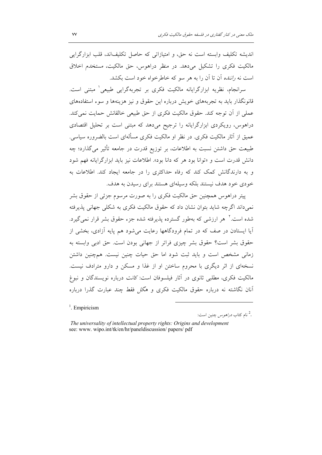اندیشه تکلیف وابسته است نه حق، و امتیازاتی که حاصل تکلیفاند، قلب ابزارگرایی مالکیت فکری را تشکیل می دهد. در منظر دراهوس، حق مالکیت، مستخدم اخلاق است نه *راننده* آن تا آن را به هر سو که خاطرخواه خود است بکشد.

سرانجام، نظریه ابزارگرایانه مالکیت فکری بر تجربهگرایی طبیعی ٰ مبتنی است. قانونگذار باید به تجربههای خویش درباره این حقوق و نیز هزینهها و سوء استفادههای عملي از أن توجه كند. حقوق مالكيت فكرى از حق طبيعي خالقانش حمايت نمي كند. دراهوس، رویکردی ابزارگرایانه را ترجیح میدهد که مبتنی است بر تحلیل اقتصادی عمیق از آثار مالکیت فکری. در نظر او مالکیت فکری مسألهای است بالضروره سیاسی. طبیعت حق داشتن نسبت به اطلاعات، بر توزیع قدرت در جامعه تأثیر میگذارد؛ چه دانش قدرت است و «توانا بود هر كه دانا بود». اطلاعات نيز بايد ابزارگرايانه فهم شود و به دارندگانش کمک کند که رفاه حداکثری را در جامعه ایجاد کند. اطلاعات به خودی خود هدف نیستند بلکه وسیلهای هستند برای رسیدن به هدف.

پیتر دراهوس همچنین حق مالکیت فکری را به صورت مرسوم جزئی از حقوق بشر نمیداند اگرچه شاید بتوان نشان داد که حقوق مالکیت فکری به شکلی جهانی پذیرفته شده است. گهر ارزشی که بهطور گسترده پذیرفته شده جزء حقوق بشر قرار نمی گیرد. آیا ایستادن در صف که در تمام فرودگاهها رعایت میشود هم پایه آزادی، بخشی از حقوق بشر است؟ حقوق بشر چیزی فراتر از جهانی بودن است. حق ادبی وابسته به زمانی مشخص است و باید ثبت شود اما حق حیات چنین نیست. همچنین داشتن نسخهای از اثر دیگری با محروم ساختن او از غذا و مسکن و دارو مترادف نیست. مالکیت فکری، مطلبی ثانوی در آثار فیلسوفان است: *کانت* درباره نویسندگان و نبوغ آنان نگاشته نه درباره حقوق مالکیت فکری و *هگل* فقط چند عبارت گذرا درباره

 $\frac{1}{2}$ . Empiricism

<sup>2</sup>. نام کتاب *دراهوس* چنین است:

The universality of intellectual property rights: Origins and development see: www. wipo.int/tk/en/hr/paneldiscussion/ papers/ pdf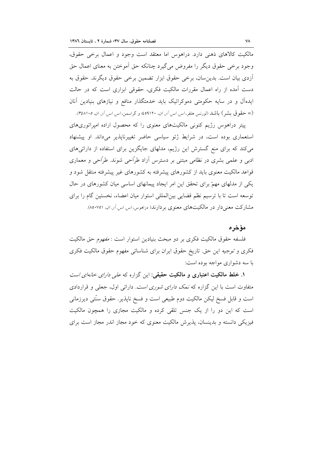مالکیت کالاهای ذهنی دارد. دراهوس اما معتقد است وجود و اعمال برخی حقوق، وجود برخی حقوق دیگر را مفروض می گیرد چنانکه حق اَموختن به معنای اعمال حق آزدی بیان است. بدین سان، برخی حقوق ابزار تضمین برخی حقوق دیگرند. حقوق به دست آمده از راه اعمال مقررات مالکیت فکری، حقوقی ابزاری است که در حالت ایدهآل و در سایه حکومتی دموکراتیک باید خدمتگذار منافع و نیازهای بنیادین آنان (= حقوق بشر) باشد (لورنس هلفر، *اس اس آر ان، ۱۹۱۲۰؛ و* گراسمن، *اس اس آر ان، ۴٤٨۱۰٥).* 

پیتر دراهوس رژیم کنونی مالکیتهای معنوی را که محصول اراده امپراتوریهای استعماری بوده است، در شرایط ژئو سیاسی حاضر تغییرناپذیر میداند. او پیشنهاد می کند که برای منع گسترش این رژیم، مدلهای جایگزین برای استفاده از دارائیهای ادبی و علمی بشری در نظامی مبتنی بر دسترس آزاد طرّاحی شوند. طرّاحی و معماری قواعد مالکیت معنوی باید از کشورهای پیشرفته به کشورهای غیر پیشرفته منتقل شود و یکی از مدلهای مهمّ برای تحقق این امر ایجاد پیمانهای اساسی میان کشورهای در حال توسعه است تا با ترسیم نظم قضایی بینالمللی استوار میان اعضاء، نخستین گام را برای مشارکت معنی دار در مالکیتهای معنوی بردارند( دراهوس، *اس اس آر. ان*. ۸۵۰۷۵۱).

مؤخره

فلسفه حقوق مالکیت فکری بر دو مبحث بنیادین استوار است : *مفهوم* حق مالکیت فکری و توجیه این حق تاریخ حقوق ایران برای شناسائی مفهوم حقوق مالکیت فکری با سه دشواري مواجه بوده است:

۱. خلط مالکیت اعتباری و مالکیت حقیقی: این گزاره که *علی دارای خانهای است* متفاوت است با این گزاره که *نمک دارای شوری است.* دارائ<sub>ی</sub> اول، جعلی و قراردادی است و قابل فسخ ليكن مالكيت دوم طبيعي است و فسخ ناپذير. حقوق سنّتي ديرزماني است که این دو را از یک جنس تلقی کرده و مالکیت مجازی را همچون مالکیت فیزیکی دانسته و پدینسان، پذیرش مالکیت معنوی که خود مجاز اندر مجاز است برای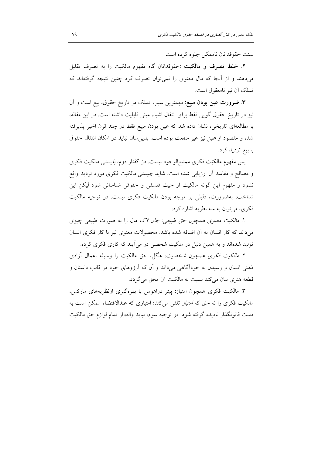سنت حقوقدانان ناممکن جلوه کرده است.

**۲**. **خلط تصرف و مالکیت** :حقوقدانان گاه مفهوم مالکیت را به تصرف تقلیل میدهند و از آنجا که مال معنوی را نمیٍتوان تصرف کرد چنین نتیجه گرفتهاند که تملک اَن نیز نامعقول است.

**۳. ضرورت عین بودن مبیع**: مهمترین سبب تملک در تاریخ حقوق، بیع است و اَن نیز در تاریخ حقوق گویی فقط برای انتقال اشیاء عینی قابلیت داشته است. در این مقاله، با مطالعهای تاریخی، نشان داده شد که عین بودن مبیع فقط در چند قرن اخیر پذیرفته شده و مقصود از *عین* نیز غیر *منفعت* بوده است. بدین سان نباید در امکان انتقال حقوق با بيع ترديد كرد.

پس مفهوم مالکیّت فکری ممتنع|لوجود نیست. دز گفتار دوم، *بایستی م*الکیت فکری و مصالح و مفاسد أن ارزيابي شده است. شايد چيستي مالكيت فكرى مورد ترديد واقع نشود و مفهوم این گونه مالکیت از حیث فلسفی و حقوقی شناسائی شود لیکن این شناخت، بهضرورت، دلیلی بر موجه بودن مالکیت فکری نیست. در توجیه مالکیت فکري، مي توان به سه نظريه اشاره کرد:

۱. *مالکیت معنوی همچون حق طبیعی: جان لاک مال را به صورت طبیعی چی*زی می داند که کار انسان به آن اضافه شده باشد. محصولات معنوی نیز با کار فکری انسان تولید شدهاند و به همین دلیل در ملکیت شخصی در می آیند که کاری فکری کرده.

۲. *مالکیت فکری همچون شخصیت*: هگل، حق مالکیت را وسیله اعمال آزادی ذهنی انسان و رسیدن به خودآگاهی میداند و آن که آرزوهای خود در قالب داستان و قطعه هنري بيان مي كند نسبت به مالكيت أن محق مي گردد.

۳. مالکیت فکری همچون امتیاز: پیتر دراهوس با بهرهگیری ازنظریههای مارکس، مالکیت فکری را نه حق که *امتیاز* تلقی میکند؛ امتیازی که عندالاقتضاء ممکن است به دست قانونگذار نادیده گرفته شود. در توجیه سوم، نباید والهوار تمام لوازم حق مالکیت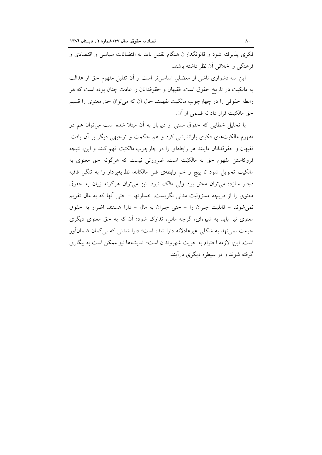فکری پذیرفته شود و قانونگذاران هنگام تقنین باید به اقتضائات سیاسی و اقتصادی و فرهنگی و اخلاقی اَن نظر داشته باشند.

این سه دشواری ناشی از معضلی اساسی تر است و آن تقلیل مفهوم حق از عدالت به مالکیت در تاریخ حقوق است. فقیهان و حقوقدانان را عادت چنان بوده است که هر رابطه حقوقی را در چهارچوب مالکیت بفهمند حال اَن که می توان حق معنوی را قسیم حق مالكيت قرار داد نه قسمي از آن.

با تحلیل خطایی که حقوق سنتی از دیرباز به اَن مبتلا شده است میتوان هم در مفهوم مالکیتهای فکری بازاندیشی کرد و هم حکمت و توجیهی دیگر بر آن یافت. فقیهان و حقوقدانان مایلند هر رابطهای را در چارچوب *مالکتت* فهم کنند و این، نتیجه فروکاستن مفهوم حق به مالکیّت است. ضرورتی نیست که هرگونه حق معنوی به مالکیت تحویل شود تا پیچ و خم رابطهی فنی مالکانه، نظریهپرداز را به تنگی قافیه دچار سازد؛ میتوان *محق* بود ول*ی مالک* نبود. نیز میتوان هرگونه زیان به حقوق معنوی را از دریچه مسؤولیت مدنی نگریست: خسارتها – حتی آنها که به مال تقویم نمی شوند – قابلیت جبران را – حتی جبران به مال – دارا هستند. اضرار به حقوق معنوی نیز باید به شیوهای، گرچه مالی، تدارک شود؛ آن که به حق معنوی دیگری حرمت نمی،نهد به شکلی غیرعادلانه دارا شده است؛ دارا شدنبی که بی گمان ضمانآور است. این، لازمه احترام به حریت شهروندان است؛ اندیشهها نیز ممکن است به بیگاری گرفته شوند و در سیطره دیگری درآیند.